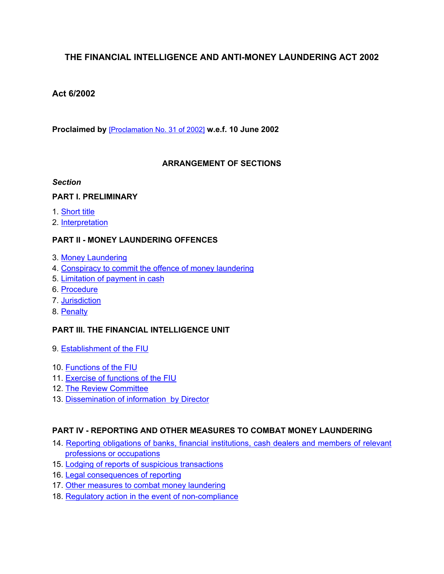# **THE FINANCIAL INTELLIGENCE AND ANTI-MONEY LAUNDERING ACT 2002**

# **Act 6/2002**

**Proclaimed by** [\[Proclamation](https://supremecourt.govmu.org/_layouts/CLIS.DMS/search/searchdocumentbykey.aspx?ID=%5BProclamation%20No.%2031%20of%202002%5D&list=Legislations) No. 31 of 2002] **w.e.f. 10 June 2002**

# **ARRANGEMENT OF SECTIONS**

### *Section*

# **PART I. PRELIMINARY**

- 1. [Short](#page-1-0) title
- 2. [Interpretation](#page-2-0)

# **PART II - MONEY LAUNDERING OFFENCES**

- 3. Money [Laundering](#page-10-0)
- 4. [Conspiracy](#page-10-1) to commit the offence of money laundering
- 5. [Limitation](#page-10-2) of payment in cash
- 6. [Procedure](#page-11-0)
- 7. [Jurisdiction](#page-11-1)
- 8. [Penalty](#page-11-2)

# **PART III. THE FINANCIAL INTELLIGENCE UNIT**

- 9. [Establishment](#page-12-0) of the FIU
- 10. [Functions](#page-12-1) of the FIU
- 11. Exercise of [functions](#page-13-0) of the FIU
- 12. The Review [Committee](#page-13-1)
- 13. Dissemination of [information by](#page-15-0) Director

# **PART IV - REPORTING AND OTHER MEASURES TO COMBAT MONEY LAUNDERING**

- 14. Reporting obligations of banks, financial [institutions,](#page-17-0) cash dealers and members of relevant professions or [occupations](#page-17-0)
- 15. Lodging of reports of suspicious [transactions](#page-17-1)
- 16. Legal [consequences](#page-18-0) of reporting
- 17. Other measures to combat money laundering
- 18. Regulatory action in the event of [non-compliance](#page-26-0)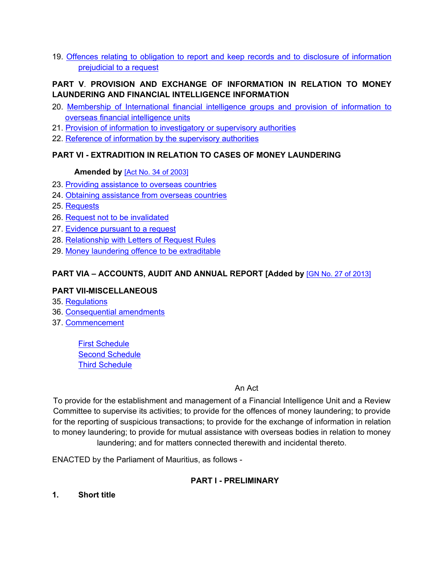19. Offences relating to obligation to report and keep records and to disclosure of [information](#page-27-0) [prejudicial](#page-27-0) to a request

# **PART V**. **PROVISION AND EXCHANGE OF INFORMATION IN RELATION TO MONEY LAUNDERING AND FINANCIAL INTELLIGENCE INFORMATION**

- 20. Membership of [International](#page-46-0) financial intelligence groups and provision of information to overseas financial [intelligence](#page-46-0) units
- 21. Provision of information to [investigatory](#page-46-1) or supervisory authorities
- 22. Reference of information by the [supervisory](#page-47-0) authorities

# **PART VI - EXTRADITION IN RELATION TO CASES OF MONEY LAUNDERING**

### **Amended by** [Act No. 34 of [2003\]](https://supremecourt.govmu.org/_layouts/CLIS.DMS/search/searchdocumentbykey.aspx?ID=%5BAct%20No.%2034%20of%202003%5D&list=Legislations)

- 23. Providing [assistance](#page-48-0) to overseas countries
- 24. Obtaining assistance from overseas countries
- 25. Requests
- 26. Request not to be invalidated
- 27. Evidence pursuant to a request
- 28. Relationship with Letters of Request Rules
- 29. Money laundering offence to be [extraditable](#page-48-1)

# **PART VIA – ACCOUNTS, AUDIT AND ANNUAL REPORT [Added by** [GN No. 27 of [2013\]](https://supremecourt.govmu.org/_layouts/CLIS.DMS/search/searchdocumentbykey.aspx?ID=%5BGN%20No.%2027%20of%202013%5D&list=Legislations)

# **PART VII-MISCELLANEOUS**

- 35. [Regulations](#page-52-0)
- 36. [Consequential](#page-53-0) amendments
- 37. [Commencement](#page-53-1)

First [Schedule](#page-54-0) **Second [Schedule](#page-56-0)** Third [Schedule](#page-57-0)

# An Act

To provide for the establishment and management of a Financial Intelligence Unit and a Review Committee to supervise its activities; to provide for the offences of money laundering; to provide for the reporting of suspicious transactions; to provide for the exchange of information in relation to money laundering; to provide for mutual assistance with overseas bodies in relation to money laundering; and for matters connected therewith and incidental thereto.

ENACTED by the Parliament of Mauritius, as follows -

# **PART I - PRELIMINARY**

<span id="page-1-0"></span>**1. Short title**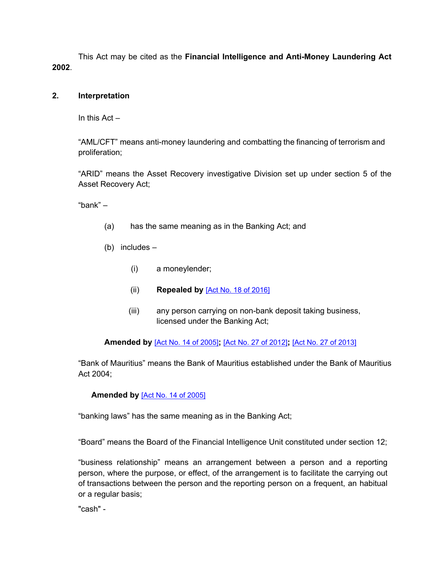This Act may be cited as the **Financial Intelligence and Anti-Money Laundering Act 2002**.

# <span id="page-2-0"></span>**2. Interpretation**

In this Act –

"AML/CFT" means anti-money laundering and combatting the financing of terrorism and proliferation;

"ARID" means the Asset Recovery investigative Division set up under section 5 of the Asset Recovery Act;

"bank" –

- (a) has the same meaning as in the Banking Act; and
- (b) includes
	- (i) a moneylender;
	- (ii) **Repealed by** [Act No. 18 of [2016\]](https://supremecourt.govmu.org/_layouts/CLIS.DMS/search/searchdocumentbykey.aspx?ID=%5BAct%20No.%2018%20of%202016%5D&list=Legislations)
	- (iii) any person carrying on non-bank deposit taking business, licensed under the Banking Act;

**Amended by** [Act No. 14 of [2005\]](https://supremecourt.govmu.org/_layouts/CLIS.DMS/search/searchdocumentbykey.aspx?ID=%5BAct%20No.%2014%20of%202005%5D&list=Legislations)**;** [Act No. 27 of [2012\]](https://supremecourt.govmu.org/_layouts/CLIS.DMS/search/searchdocumentbykey.aspx?ID=%5BAct%20No.%2027%20of%202012%5D&list=Legislations)**;** [Act No. 27 of [2013\]](https://supremecourt.govmu.org/_layouts/CLIS.DMS/search/searchdocumentbykey.aspx?ID=%5BAct%20No.%2027%20of%202013%5D&list=Legislations)

"Bank of Mauritius" means the Bank of Mauritius established under the Bank of Mauritius Act 2004;

# **Amended by** [Act No. 14 of [2005\]](https://supremecourt.govmu.org/_layouts/CLIS.DMS/search/searchdocumentbykey.aspx?ID=%5BAct%20No.%2014%20of%202005%5D&list=Legislations)

"banking laws" has the same meaning as in the Banking Act;

"Board" means the Board of the Financial Intelligence Unit constituted under section 12;

"business relationship" means an arrangement between a person and a reporting person, where the purpose, or effect, of the arrangement is to facilitate the carrying out of transactions between the person and the reporting person on a frequent, an habitual or a regular basis;

"cash" -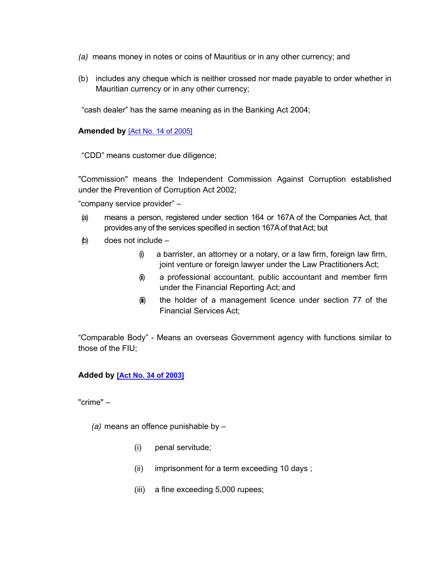- *(a)* means money in notes or coins of Mauritius or in any other currency; and
- (b) includes any cheque which is neither crossed nor made payable to order whether in Mauritian currency or in any other currency;

"cash dealer" has the same meaning as in the Banking Act 2004;

# **Amended by** [Act No. 14 of [2005\]](https://supremecourt.govmu.org/_layouts/CLIS.DMS/search/searchdocumentbykey.aspx?ID=%5BAct%20No.%2014%20of%202005%5D&list=Legislations)

"CDD" means customer due diligence;

"Commission" means the Independent Commission Against Corruption established under the Prevention of Corruption Act 2002;

"company service provider" –

- (a) means a person, registered under section 164 or 167A of the Companies Act, that provides any of the services specified in section 167A of that Act; but
- (b) does not include
	- $(i)$  a barrister, an attorney or a notary, or a law firm, foreign law firm, joint venture or foreign lawyer under the Law Practitioners Act;
	- (i) a professional accountant, public accountant and member firm under the Financial Reporting Act; and
	- (iii) the holder of a management licence under section 77 of the Financial Services Act;

"Comparable Body" - Means an overseas Government agency with functions similar to those of the FIU;

# **Added by [Act No. 34 of [2003\]](https://supremecourt.govmu.org/_layouts/CLIS.DMS/search/searchdocumentbykey.aspx?ID=%5BAct%20No.%2034%20of%202003%5D&list=Legislations)**

"crime" –

 *(a)* means an offence punishable by –

- (i) penal servitude;
- (ii) imprisonment for a term exceeding 10 days ;
- (iii) a fine exceeding 5,000 rupees;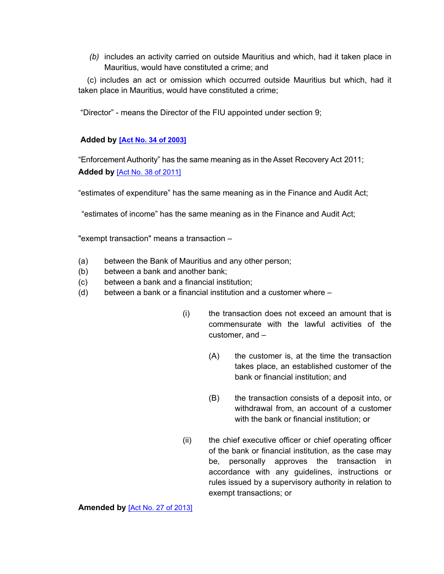*(b)* includes an activity carried on outside Mauritius and which, had it taken place in Mauritius, would have constituted a crime; and

 (c) includes an act or omission which occurred outside Mauritius but which, had it taken place in Mauritius, would have constituted a crime;

"Director" - means the Director of the FIU appointed under section 9;

# **Added by [Act No. 34 of [2003\]](https://supremecourt.govmu.org/_layouts/CLIS.DMS/search/searchdocumentbykey.aspx?ID=%5BAct%20No.%2034%20of%202003%5D&list=Legislations)**

"Enforcement Authority" has the same meaning as in the Asset Recovery Act 2011; **Added by** [Act No. 38 of [2011\]](https://supremecourt.govmu.org/_layouts/CLIS.DMS/search/searchdocumentbykey.aspx?ID=%5BAct%20No.%2038%20of%202011%5D&list=Legislations)

"estimates of expenditure" has the same meaning as in the Finance and Audit Act;

"estimates of income" has the same meaning as in the Finance and Audit Act;

"exempt transaction" means a transaction –

- (a) between the Bank of Mauritius and any other person;
- (b) between a bank and another bank;
- (c) between a bank and a financial institution;
- (d) between a bank or a financial institution and a customer where
	- (i) the transaction does not exceed an amount that is commensurate with the lawful activities of the customer, and –
		- (A) the customer is, at the time the transaction takes place, an established customer of the bank or financial institution; and
		- (B) the transaction consists of a deposit into, or withdrawal from, an account of a customer with the bank or financial institution; or
	- (ii) the chief executive officer or chief operating officer of the bank or financial institution, as the case may be, personally approves the transaction in accordance with any guidelines, instructions or rules issued by a supervisory authority in relation to exempt transactions; or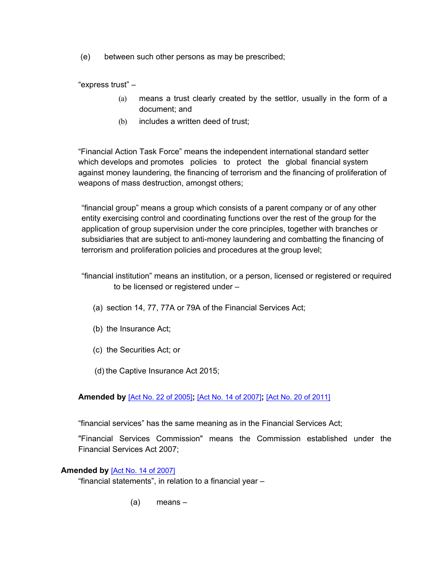(e) between such other persons as may be prescribed;

"express trust" –

- (a) means a trust clearly created by the settlor, usually in the form of a document; and
- (b) includes a written deed of trust:

"Financial Action Task Force" means the independent international standard setter which develops and promotes policies to protect the global financial system against money laundering, the financing of terrorism and the financing of proliferation of weapons of mass destruction, amongst others;

"financial group" means a group which consists of a parent company or of any other entity exercising control and coordinating functions over the rest of the group for the application of group supervision under the core principles, together with branches or subsidiaries that are subject to anti-money laundering and combatting the financing of terrorism and proliferation policies and procedures at the group level;

- "financial institution" means an institution, or a person, licensed or registered or required to be licensed or registered under –
	- (a) section 14, 77, 77A or 79A of the Financial Services Act;
	- (b) the Insurance Act;
	- (c) the Securities Act; or
	- (d) the Captive Insurance Act 2015;

**Amended by** [Act No. 22 of [2005\]](https://supremecourt.govmu.org/_layouts/CLIS.DMS/search/searchdocumentbykey.aspx?ID=%5BAct%20No.%2022%20of%202005%5D&list=Legislations)**;** [Act No. 14 of [2007\]](https://supremecourt.govmu.org/_layouts/CLIS.DMS/search/searchdocumentbykey.aspx?ID=%5BAct%20No.%2014%20of%202007%5D&list=Legislations)**;** [Act No. 20 of [2011\]](https://supremecourt.govmu.org/_layouts/CLIS.DMS/search/searchdocumentbykey.aspx?ID=%5BAct%20No.%2020%20of%202011%5D&list=Legislations)

"financial services" has the same meaning as in the Financial Services Act;

"Financial Services Commission" means the Commission established under the Financial Services Act 2007;

# **Amended by** [Act No. 14 of [2007\]](https://supremecourt.govmu.org/_layouts/CLIS.DMS/search/searchdocumentbykey.aspx?ID=%5BAct%20No.%2014%20of%202007%5D&list=Legislations)

"financial statements", in relation to a financial year –

(a) means –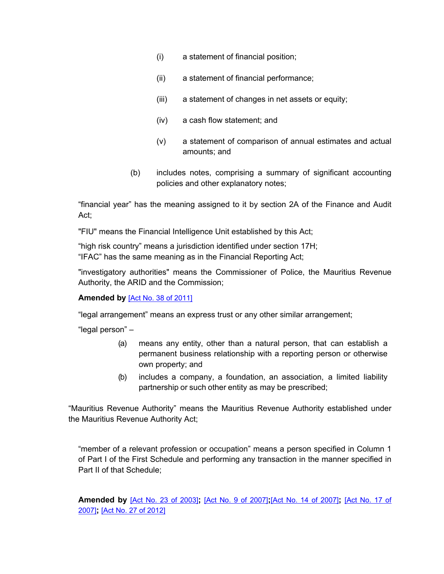- (i) a statement of financial position;
- (ii) a statement of financial performance;
- (iii) a statement of changes in net assets or equity;
- (iv) a cash flow statement; and
- (v) a statement of comparison of annual estimates and actual amounts; and
- (b) includes notes, comprising a summary of significant accounting policies and other explanatory notes;

"financial year" has the meaning assigned to it by section 2A of the Finance and Audit Act;

"FIU" means the Financial Intelligence Unit established by this Act;

"high risk country" means a jurisdiction identified under section 17H; "IFAC" has the same meaning as in the Financial Reporting Act;

"investigatory authorities" means the Commissioner of Police, the Mauritius Revenue Authority, the ARID and the Commission;

# **Amended by** [Act No. 38 of [2011\]](https://supremecourt.govmu.org/_layouts/CLIS.DMS/search/searchdocumentbykey.aspx?ID=%5BAct%20No.%2038%20of%202011%5D&list=Legislations)

"legal arrangement" means an express trust or any other similar arrangement;

"legal person" –

- (a) means any entity, other than a natural person, that can establish a permanent business relationship with a reporting person or otherwise own property; and
- (b) includes a company, a foundation, an association, a limited liability partnership or such other entity as may be prescribed;

"Mauritius Revenue Authority" means the Mauritius Revenue Authority established under the Mauritius Revenue Authority Act;

"member of a relevant profession or occupation" means a person specified in Column 1 of Part I of the First Schedule and performing any transaction in the manner specified in Part II of that Schedule;

**Amended by** [Act No. 23 of [2003\]](https://supremecourt.govmu.org/_layouts/CLIS.DMS/search/searchdocumentbykey.aspx?ID=%5BAct%20No.%2023%20of%202003%5D&list=Legislations)**;** [Act No. 9 of [2007\]](https://supremecourt.govmu.org/_layouts/CLIS.DMS/search/searchdocumentbykey.aspx?ID=%5BAct%20No.%209%20of%202007%5D&list=Legislations)**;**[Act No. 14 of [2007\]](https://supremecourt.govmu.org/_layouts/CLIS.DMS/search/searchdocumentbykey.aspx?ID=%5BAct%20No.%2014%20of%202007%5D&list=Legislations)**;** [\[Act](https://supremecourt.govmu.org/_layouts/CLIS.DMS/search/searchdocumentbykey.aspx?ID=%5BAct%20No.%2017%20of%202007%5D&list=Legislations) No. 17 of [2007\]](https://supremecourt.govmu.org/_layouts/CLIS.DMS/search/searchdocumentbykey.aspx?ID=%5BAct%20No.%2017%20of%202007%5D&list=Legislations)**;** [Act No. 27 of [2012\]](https://supremecourt.govmu.org/_layouts/CLIS.DMS/search/searchdocumentbykey.aspx?ID=%5BAct%20No.%2027%20of%202012%5D&list=Legislations)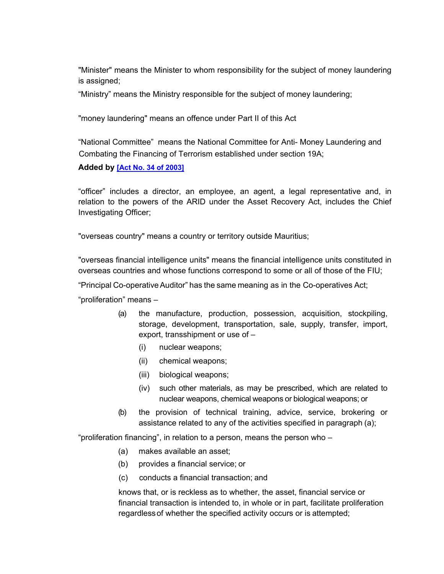"Minister" means the Minister to whom responsibility for the subject of money laundering is assigned;

"Ministry" means the Ministry responsible for the subject of money laundering;

"money laundering" means an offence under Part II of this Act

"National Committee" means the National Committee for Anti- Money Laundering and Combating the Financing of Terrorism established under section 19A;

**Added by [Act No. 34 of [2003\]](https://supremecourt.govmu.org/_layouts/CLIS.DMS/search/searchdocumentbykey.aspx?ID=%5BAct%20No.%2034%20of%202003%5D&list=Legislations)**

"officer" includes a director, an employee, an agent, a legal representative and, in relation to the powers of the ARID under the Asset Recovery Act, includes the Chief Investigating Officer;

"overseas country" means a country or territory outside Mauritius;

"overseas financial intelligence units" means the financial intelligence units constituted in overseas countries and whose functions correspond to some or all of those of the FIU;

"Principal Co-operative Auditor" has the same meaning as in the Co-operatives Act;

"proliferation" means –

- (a) the manufacture, production, possession, acquisition, stockpiling, storage, development, transportation, sale, supply, transfer, import, export, transshipment or use of –
	- (i) nuclear weapons;
	- (ii) chemical weapons;
	- (iii) biological weapons;
	- (iv) such other materials, as may be prescribed, which are related to nuclear weapons, chemical weapons or biological weapons; or
- (b) the provision of technical training, advice, service, brokering or assistance related to any of the activities specified in paragraph (a);

"proliferation financing", in relation to a person, means the person who –

- (a) makes available an asset;
- (b) provides a financial service; or
- (c) conducts a financial transaction; and

knows that, or is reckless as to whether, the asset, financial service or financial transaction is intended to, in whole or in part, facilitate proliferation regardlessof whether the specified activity occurs or is attempted;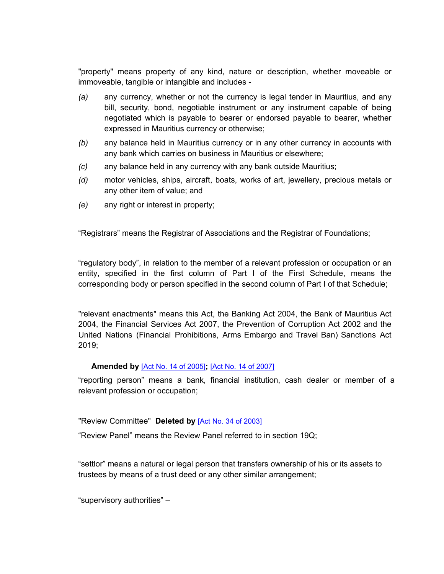"property" means property of any kind, nature or description, whether moveable or immoveable, tangible or intangible and includes -

- *(a)* any currency, whether or not the currency is legal tender in Mauritius, and any bill, security, bond, negotiable instrument or any instrument capable of being negotiated which is payable to bearer or endorsed payable to bearer, whether expressed in Mauritius currency or otherwise;
- *(b)* any balance held in Mauritius currency or in any other currency in accounts with any bank which carries on business in Mauritius or elsewhere;
- *(c)* any balance held in any currency with any bank outside Mauritius;
- *(d)* motor vehicles, ships, aircraft, boats, works of art, jewellery, precious metals or any other item of value; and
- *(e)* any right or interest in property;

"Registrars" means the Registrar of Associations and the Registrar of Foundations;

"regulatory body", in relation to the member of a relevant profession or occupation or an entity, specified in the first column of Part I of the First Schedule, means the corresponding body or person specified in the second column of Part I of that Schedule;

"relevant enactments" means this Act, the Banking Act 2004, the Bank of Mauritius Act 2004, the Financial Services Act 2007, the Prevention of Corruption Act 2002 and the United Nations (Financial Prohibitions, Arms Embargo and Travel Ban) Sanctions Act 2019;

#### **Amended by** [Act No. 14 of [2005\]](https://supremecourt.govmu.org/_layouts/CLIS.DMS/search/searchdocumentbykey.aspx?ID=%5BAct%20No.%2014%20of%202005%5D&list=Legislations)**;** [Act No. 14 of [2007\]](https://supremecourt.govmu.org/_layouts/CLIS.DMS/search/searchdocumentbykey.aspx?ID=%5BAct%20No.%2014%20of%202007%5D&list=Legislations)

"reporting person" means a bank, financial institution, cash dealer or member of a relevant profession or occupation;

"Review Committee" **Deleted by** [Act No. 34 of [2003\]](https://supremecourt.govmu.org/_layouts/CLIS.DMS/search/searchdocumentbykey.aspx?ID=%5BAct%20No.%2034%20of%202003%5D&list=Legislations)

"Review Panel" means the Review Panel referred to in section 19Q;

"settlor" means a natural or legal person that transfers ownership of his or its assets to trustees by means of a trust deed or any other similar arrangement;

"supervisory authorities" –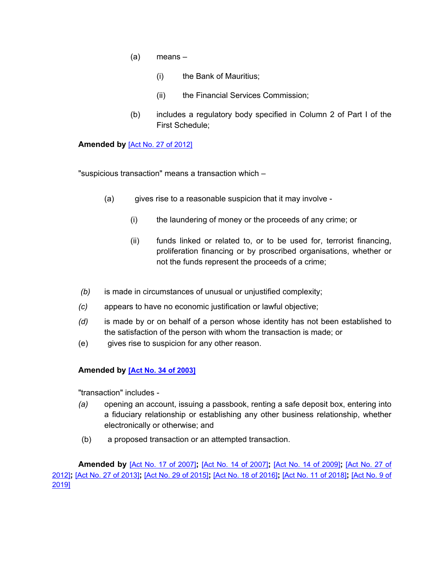- (a) means
	- (i) the Bank of Mauritius;
	- (ii) the Financial Services Commission;
- (b) includes a regulatory body specified in Column 2 of Part I of the First Schedule;

### **Amended by** [Act No. 27 of [2012\]](https://supremecourt.govmu.org/_layouts/CLIS.DMS/search/searchdocumentbykey.aspx?ID=%5BAct%20No.%2027%20of%202012%5D&list=Legislations)

"suspicious transaction" means a transaction which –

- (a) gives rise to a reasonable suspicion that it may involve
	- (i) the laundering of money or the proceeds of any crime; or
	- (ii) funds linked or related to, or to be used for, terrorist financing, proliferation financing or by proscribed organisations, whether or not the funds represent the proceeds of a crime;
- *(b)* is made in circumstances of unusual or unjustified complexity;
- *(c)* appears to have no economic justification or lawful objective;
- *(d)* is made by or on behalf of a person whose identity has not been established to the satisfaction of the person with whom the transaction is made; or
- (e) gives rise to suspicion for any other reason.

# **Amended by [Act No. 34 of [2003\]](https://supremecourt.govmu.org/_layouts/CLIS.DMS/search/searchdocumentbykey.aspx?ID=%5BAct%20No.%2034%20of%202003%5D&list=Legislations)**

"transaction" includes -

- *(a)* opening an account, issuing a passbook, renting a safe deposit box, entering into a fiduciary relationship or establishing any other business relationship, whether electronically or otherwise; and
- (b) a proposed transaction or an attempted transaction.

**Amended by** [Act No. 17 of [2007\]](https://supremecourt.govmu.org/_layouts/CLIS.DMS/search/searchdocumentbykey.aspx?ID=%5BAct%20No.%2017%20of%202007%5D&list=Legislations)**;** [Act No. 14 of [2007\]](https://supremecourt.govmu.org/_layouts/CLIS.DMS/search/searchdocumentbykey.aspx?ID=%5BAct%20No.%2014%20of%202007%5D&list=Legislations)**;** [Act No. 14 of [2009\]](https://supremecourt.govmu.org/_layouts/CLIS.DMS/search/searchdocumentbykey.aspx?ID=%5BAct%20No.%2014%20of%202009%5D&list=Legislations)**;** [\[Act](https://supremecourt.govmu.org/_layouts/CLIS.DMS/search/searchdocumentbykey.aspx?ID=%5BAct%20No.%2027%20of%202012%5D&list=Legislations) No. 27 of [2012\]](https://supremecourt.govmu.org/_layouts/CLIS.DMS/search/searchdocumentbykey.aspx?ID=%5BAct%20No.%2027%20of%202012%5D&list=Legislations)**;** [Act No. 27 of [2013\]](https://supremecourt.govmu.org/_layouts/CLIS.DMS/search/searchdocumentbykey.aspx?ID=%5BAct%20No.%2027%20of%202013%5D&list=Legislations)**;** [Act No. 29 of [2015\]](https://supremecourt.govmu.org/_layouts/CLIS.DMS/search/searchdocumentbykey.aspx?ID=%5BAct%20No.%2029%20of%202015%5D&list=Legislations)**;** [Act No. 18 of [2016\]](https://supremecourt.govmu.org/_layouts/CLIS.DMS/search/searchdocumentbykey.aspx?ID=%5BAct%20No.%2018%20of%202016%5D&list=Legislations)**;** [Act No. 11 of [2018\]](https://supremecourt.govmu.org/_layouts/CLIS.DMS/search/searchdocumentbykey.aspx?ID=%5BAct%20No.%2011%20of%202018%5D&list=Legislations)**;** [\[Act](https://supremecourt.govmu.org/_layouts/CLIS.DMS/search/searchdocumentbykey.aspx?ID=%5BAct%20No.%209%20of%202019%5D&list=Legislations) No. 9 of [2019\]](https://supremecourt.govmu.org/_layouts/CLIS.DMS/search/searchdocumentbykey.aspx?ID=%5BAct%20No.%209%20of%202019%5D&list=Legislations)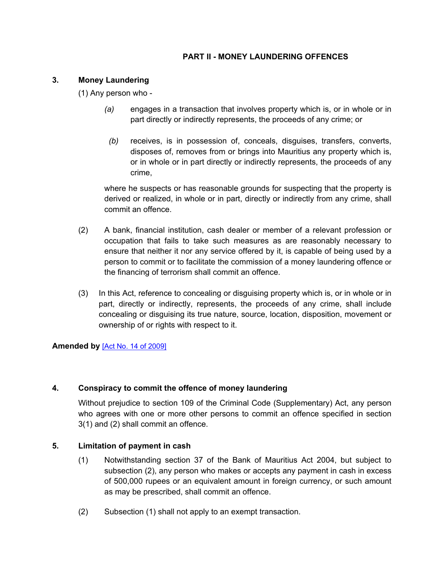# **PART II - MONEY LAUNDERING OFFENCES**

# <span id="page-10-0"></span>**3. Money Laundering**

(1) Any person who -

- *(a)* engages in a transaction that involves property which is, or in whole or in part directly or indirectly represents, the proceeds of any crime; or
- *(b)* receives, is in possession of, conceals, disguises, transfers, converts, disposes of, removes from or brings into Mauritius any property which is, or in whole or in part directly or indirectly represents, the proceeds of any crime,

where he suspects or has reasonable grounds for suspecting that the property is derived or realized, in whole or in part, directly or indirectly from any crime, shall commit an offence.

- (2) A bank, financial institution, cash dealer or member of a relevant profession or occupation that fails to take such measures as are reasonably necessary to ensure that neither it nor any service offered by it, is capable of being used by a person to commit or to facilitate the commission of a money laundering offence or the financing of terrorism shall commit an offence.
- (3) In this Act, reference to concealing or disguising property which is, or in whole or in part, directly or indirectly, represents, the proceeds of any crime, shall include concealing or disguising its true nature, source, location, disposition, movement or ownership of or rights with respect to it.

**Amended by** [Act No. 14 of [2009\]](https://supremecourt.govmu.org/_layouts/CLIS.DMS/search/searchdocumentbykey.aspx?ID=%5BAct%20No.%2014%20of%202009%5D&list=Legislations)

# <span id="page-10-1"></span>**4. Conspiracy to commit the offence of money laundering**

Without prejudice to section 109 of the Criminal Code (Supplementary) Act, any person who agrees with one or more other persons to commit an offence specified in section 3(1) and (2) shall commit an offence.

# <span id="page-10-2"></span>**5. Limitation of payment in cash**

- (1) Notwithstanding section 37 of the Bank of Mauritius Act 2004, but subject to subsection (2), any person who makes or accepts any payment in cash in excess of 500,000 rupees or an equivalent amount in foreign currency, or such amount as may be prescribed, shall commit an offence.
- (2) Subsection (1) shall not apply to an exempt transaction.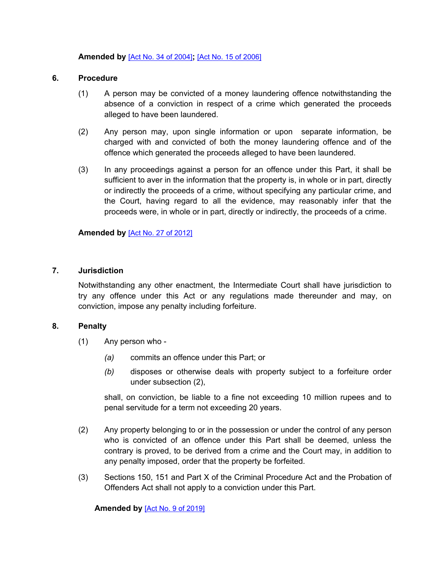### **Amended by** [Act No. 34 of [2004\]](https://supremecourt.govmu.org/_layouts/CLIS.DMS/search/searchdocumentbykey.aspx?ID=%5BAct%20No.%2034%20of%202004%5D&list=Legislations)**;** [Act No. 15 of [2006\]](https://supremecourt.govmu.org/_layouts/CLIS.DMS/search/searchdocumentbykey.aspx?ID=%5BAct%20No.%2015%20of%202006%5D&list=Legislations)

### <span id="page-11-0"></span>**6. Procedure**

- (1) A person may be convicted of a money laundering offence notwithstanding the absence of a conviction in respect of a crime which generated the proceeds alleged to have been laundered.
- (2) Any person may, upon single information or upon separate information, be charged with and convicted of both the money laundering offence and of the offence which generated the proceeds alleged to have been laundered.
- (3) In any proceedings against a person for an offence under this Part, it shall be sufficient to aver in the information that the property is, in whole or in part, directly or indirectly the proceeds of a crime, without specifying any particular crime, and the Court, having regard to all the evidence, may reasonably infer that the proceeds were, in whole or in part, directly or indirectly, the proceeds of a crime.

# **Amended by** [Act No. 27 of [2012\]](https://supremecourt.govmu.org/_layouts/CLIS.DMS/search/searchdocumentbykey.aspx?ID=%5BAct%20No.%2027%20of%202012%5D&list=Legislations)

### <span id="page-11-1"></span>**7. Jurisdiction**

Notwithstanding any other enactment, the Intermediate Court shall have jurisdiction to try any offence under this Act or any regulations made thereunder and may, on conviction, impose any penalty including forfeiture.

#### <span id="page-11-2"></span>**8. Penalty**

- (1) Any person who
	- *(a)* commits an offence under this Part; or
	- *(b)* disposes or otherwise deals with property subject to a forfeiture order under subsection (2),

shall, on conviction, be liable to a fine not exceeding 10 million rupees and to penal servitude for a term not exceeding 20 years.

- (2) Any property belonging to or in the possession or under the control of any person who is convicted of an offence under this Part shall be deemed, unless the contrary is proved, to be derived from a crime and the Court may, in addition to any penalty imposed, order that the property be forfeited.
- (3) Sections 150, 151 and Part X of the Criminal Procedure Act and the Probation of Offenders Act shall not apply to a conviction under this Part.

**Amended by** [Act No. 9 of [2019\]](https://supremecourt.govmu.org/_layouts/CLIS.DMS/search/searchdocumentbykey.aspx?ID=%5BAct%20No.%209%20of%202019%5D&list=Legislations)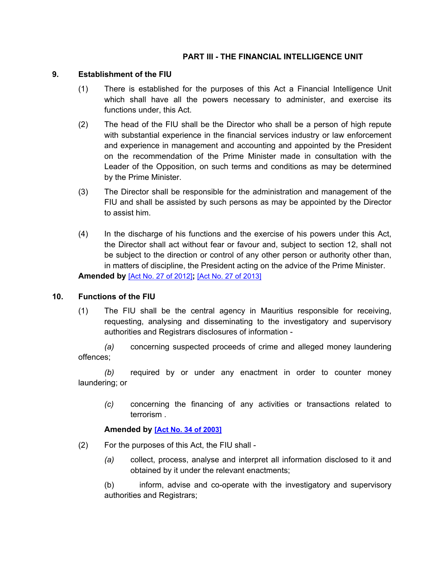# **PART III - THE FINANCIAL INTELLIGENCE UNIT**

# <span id="page-12-0"></span>**9. Establishment of the FIU**

- (1) There is established for the purposes of this Act a Financial Intelligence Unit which shall have all the powers necessary to administer, and exercise its functions under, this Act.
- (2) The head of the FIU shall be the Director who shall be a person of high repute with substantial experience in the financial services industry or law enforcement and experience in management and accounting and appointed by the President on the recommendation of the Prime Minister made in consultation with the Leader of the Opposition, on such terms and conditions as may be determined by the Prime Minister.
- (3) The Director shall be responsible for the administration and management of the FIU and shall be assisted by such persons as may be appointed by the Director to assist him.
- (4) In the discharge of his functions and the exercise of his powers under this Act, the Director shall act without fear or favour and, subject to section 12, shall not be subject to the direction or control of any other person or authority other than, in matters of discipline, the President acting on the advice of the Prime Minister. **Amended by** [Act No. 27 of [2012\]](https://supremecourt.govmu.org/_layouts/CLIS.DMS/search/searchdocumentbykey.aspx?ID=%5BAct%20No.%2027%20of%202012%5D&list=Legislations)**;** [Act No. 27 of [2013\]](https://supremecourt.govmu.org/_layouts/CLIS.DMS/search/searchdocumentbykey.aspx?ID=%5BAct%20No.%2027%20of%202013%5D&list=Legislations)

# <span id="page-12-1"></span>**10. Functions of the FIU**

(1) The FIU shall be the central agency in Mauritius responsible for receiving, requesting, analysing and disseminating to the investigatory and supervisory authorities and Registrars disclosures of information -

*(a)* concerning suspected proceeds of crime and alleged money laundering offences;

*(b)* required by or under any enactment in order to counter money laundering; or

*(c)* concerning the financing of any activities or transactions related to terrorism .

# **Amended by [Act No. 34 of [2003\]](https://supremecourt.govmu.org/_layouts/CLIS.DMS/search/searchdocumentbykey.aspx?ID=%5BAct%20No.%2034%20of%202003%5D&list=Legislations)**

- (2) For the purposes of this Act, the FIU shall
	- *(a)* collect, process, analyse and interpret all information disclosed to it and obtained by it under the relevant enactments;

(b) inform, advise and co-operate with the investigatory and supervisory authorities and Registrars;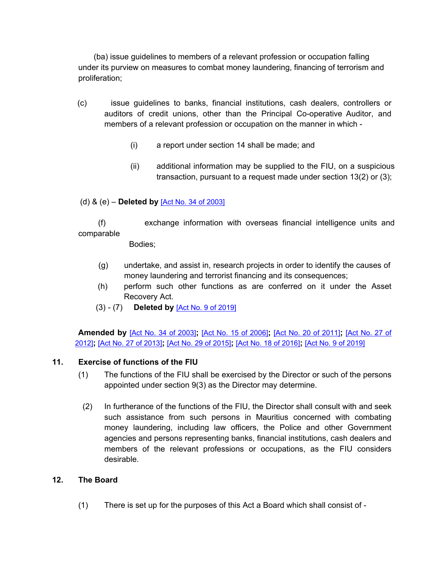(ba) issue guidelines to members of a relevant profession or occupation falling under its purview on measures to combat money laundering, financing of terrorism and proliferation;

- (c) issue guidelines to banks, financial institutions, cash dealers, controllers or auditors of credit unions, other than the Principal Co-operative Auditor, and members of a relevant profession or occupation on the manner in which -
	- (i) a report under section 14 shall be made; and
	- (ii) additional information may be supplied to the FIU, on a suspicious transaction, pursuant to a request made under section 13(2) or (3);

# (d) & (e) – **Deleted by** [Act No. 34 of [2003\]](https://supremecourt.govmu.org/_layouts/CLIS.DMS/search/searchdocumentbykey.aspx?ID=%5BAct%20No.%2034%20of%202003%5D&list=Legislations)

 (f) exchange information with overseas financial intelligence units and comparable

Bodies;

- (g) undertake, and assist in, research projects in order to identify the causes of money laundering and terrorist financing and its consequences;
- (h) perform such other functions as are conferred on it under the Asset Recovery Act.
- (3) (7) **Deleted by** [Act No. 9 of [2019\]](https://supremecourt.govmu.org/_layouts/CLIS.DMS/search/searchdocumentbykey.aspx?ID=%5BAct%20No.%209%20of%202019%5D&list=Legislations)

 **Amended by** [Act No. 34 of [2003\]](https://supremecourt.govmu.org/_layouts/CLIS.DMS/search/searchdocumentbykey.aspx?ID=%5BAct%20No.%2034%20of%202003%5D&list=Legislations)**;** [Act No. 15 of [2006\]](https://supremecourt.govmu.org/_layouts/CLIS.DMS/search/searchdocumentbykey.aspx?ID=%5BAct%20No.%2015%20of%202006%5D&list=Legislations)**;** [Act No. 20 of [2011\]](https://supremecourt.govmu.org/_layouts/CLIS.DMS/search/searchdocumentbykey.aspx?ID=%5BAct%20No.%2020%20of%202011%5D&list=Legislations)**;** [\[Act](https://supremecourt.govmu.org/_layouts/CLIS.DMS/search/searchdocumentbykey.aspx?ID=%5BAct%20No.%2027%20of%202012%5D&list=Legislations) No. 27 of [2012\]](https://supremecourt.govmu.org/_layouts/CLIS.DMS/search/searchdocumentbykey.aspx?ID=%5BAct%20No.%2027%20of%202012%5D&list=Legislations)**;** [Act No. 27 of [2013\]](https://supremecourt.govmu.org/_layouts/CLIS.DMS/search/searchdocumentbykey.aspx?ID=%5BAct%20No.%2027%20of%202013%5D&list=Legislations)**;** [Act No. 29 of [2015\]](https://supremecourt.govmu.org/_layouts/CLIS.DMS/search/searchdocumentbykey.aspx?ID=%5BAct%20No.%2029%20of%202015%5D&list=Legislations)**;** [Act No. 18 of [2016\]](https://supremecourt.govmu.org/_layouts/CLIS.DMS/search/searchdocumentbykey.aspx?ID=%5BAct%20No.%2018%20of%202016%5D&list=Legislations)**;** [Act No. 9 of [2019\]](https://supremecourt.govmu.org/_layouts/CLIS.DMS/search/searchdocumentbykey.aspx?ID=%5BAct%20No.%209%20of%202019%5D&list=Legislations)

# <span id="page-13-0"></span>**11. Exercise of functions of the FIU**

- (1) The functions of the FIU shall be exercised by the Director or such of the persons appointed under section 9(3) as the Director may determine.
- (2) In furtherance of the functions of the FIU, the Director shall consult with and seek such assistance from such persons in Mauritius concerned with combating money laundering, including law officers, the Police and other Government agencies and persons representing banks, financial institutions, cash dealers and members of the relevant professions or occupations, as the FIU considers desirable.

# <span id="page-13-1"></span>**12. The Board**

(1) There is set up for the purposes of this Act a Board which shall consist of -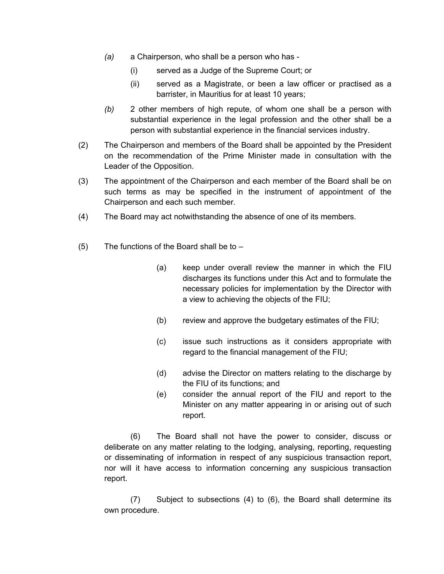- *(a)* a Chairperson, who shall be a person who has
	- (i) served as a Judge of the Supreme Court; or
	- (ii) served as a Magistrate, or been a law officer or practised as a barrister, in Mauritius for at least 10 years;
- *(b)* 2 other members of high repute, of whom one shall be a person with substantial experience in the legal profession and the other shall be a person with substantial experience in the financial services industry.
- (2) The Chairperson and members of the Board shall be appointed by the President on the recommendation of the Prime Minister made in consultation with the Leader of the Opposition.
- (3) The appointment of the Chairperson and each member of the Board shall be on such terms as may be specified in the instrument of appointment of the Chairperson and each such member.
- (4) The Board may act notwithstanding the absence of one of its members.
- (5) The functions of the Board shall be to  $-$ 
	- (a) keep under overall review the manner in which the FIU discharges its functions under this Act and to formulate the necessary policies for implementation by the Director with a view to achieving the objects of the FIU;
	- (b) review and approve the budgetary estimates of the FIU;
	- (c) issue such instructions as it considers appropriate with regard to the financial management of the FIU;
	- (d) advise the Director on matters relating to the discharge by the FIU of its functions; and
	- (e) consider the annual report of the FIU and report to the Minister on any matter appearing in or arising out of such report.

(6) The Board shall not have the power to consider, discuss or deliberate on any matter relating to the lodging, analysing, reporting, requesting or disseminating of information in respect of any suspicious transaction report, nor will it have access to information concerning any suspicious transaction report.

(7) Subject to subsections (4) to (6), the Board shall determine its own procedure.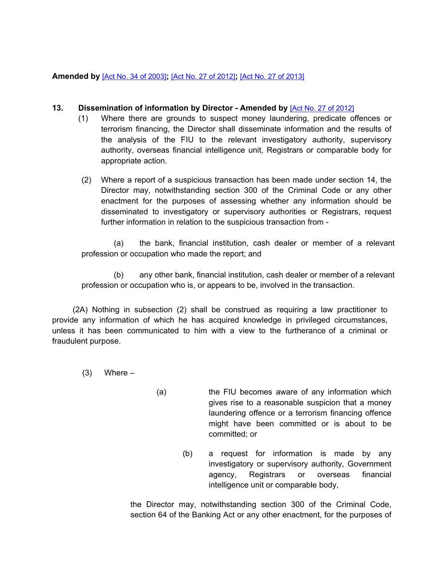# **Amended by** [Act No. 34 of [2003\]](https://supremecourt.govmu.org/_layouts/CLIS.DMS/search/searchdocumentbykey.aspx?ID=%5BAct%20No.%2034%20of%202003%5D&list=Legislations)**;** [Act No. 27 of [2012\]](https://supremecourt.govmu.org/_layouts/CLIS.DMS/search/searchdocumentbykey.aspx?ID=%5BAct%20No.%2027%20of%202012%5D&list=Legislations)**;** [Act No. 27 of [2013\]](https://supremecourt.govmu.org/_layouts/CLIS.DMS/search/searchdocumentbykey.aspx?ID=%5BAct%20No.%2027%20of%202013%5D&list=Legislations)

# <span id="page-15-0"></span>**13. Dissemination of information by Director - Amended by** [Act No. 27 of [2012\]](https://supremecourt.govmu.org/_layouts/CLIS.DMS/search/searchdocumentbykey.aspx?ID=%5BAct%20No.%2027%20of%202012%5D&list=Legislations)

- (1) Where there are grounds to suspect money laundering, predicate offences or terrorism financing, the Director shall disseminate information and the results of the analysis of the FIU to the relevant investigatory authority, supervisory authority, overseas financial intelligence unit, Registrars or comparable body for appropriate action.
- (2) Where a report of a suspicious transaction has been made under section 14, the Director may, notwithstanding section 300 of the Criminal Code or any other enactment for the purposes of assessing whether any information should be disseminated to investigatory or supervisory authorities or Registrars, request further information in relation to the suspicious transaction from -

(a) the bank, financial institution, cash dealer or member of a relevant profession or occupation who made the report; and

(b) any other bank, financial institution, cash dealer or member of a relevant profession or occupation who is, or appears to be, involved in the transaction.

(2A) Nothing in subsection (2) shall be construed as requiring a law practitioner to provide any information of which he has acquired knowledge in privileged circumstances, unless it has been communicated to him with a view to the furtherance of a criminal or fraudulent purpose.

 $(3)$  Where –

- (a) the FIU becomes aware of any information which gives rise to a reasonable suspicion that a money laundering offence or a terrorism financing offence might have been committed or is about to be committed; or
	- (b) a request for information is made by any investigatory or supervisory authority, Government agency, Registrars or overseas financial intelligence unit or comparable body,

the Director may, notwithstanding section 300 of the Criminal Code, section 64 of the Banking Act or any other enactment, for the purposes of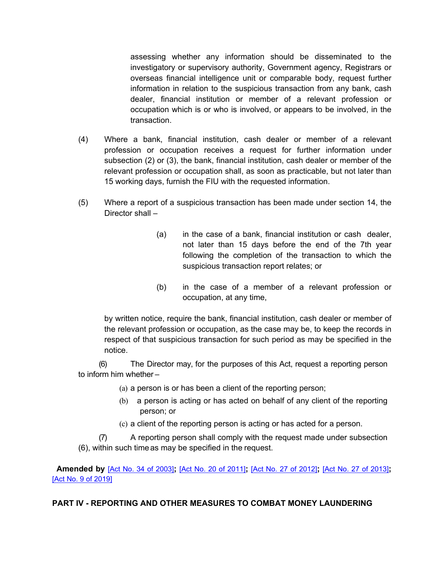assessing whether any information should be disseminated to the investigatory or supervisory authority, Government agency, Registrars or overseas financial intelligence unit or comparable body, request further information in relation to the suspicious transaction from any bank, cash dealer, financial institution or member of a relevant profession or occupation which is or who is involved, or appears to be involved, in the transaction.

- (4) Where a bank, financial institution, cash dealer or member of a relevant profession or occupation receives a request for further information under subsection (2) or (3), the bank, financial institution, cash dealer or member of the relevant profession or occupation shall, as soon as practicable, but not later than 15 working days, furnish the FIU with the requested information.
- (5) Where a report of a suspicious transaction has been made under section 14, the Director shall –
	- (a) in the case of a bank, financial institution or cash dealer, not later than 15 days before the end of the 7th year following the completion of the transaction to which the suspicious transaction report relates; or
	- (b) in the case of a member of a relevant profession or occupation, at any time,

by written notice, require the bank, financial institution, cash dealer or member of the relevant profession or occupation, as the case may be, to keep the records in respect of that suspicious transaction for such period as may be specified in the notice.

(6) The Director may, for the purposes of this Act, request a reporting person to inform him whether –

- (a) a person is or has been a client of the reporting person;
- (b) a person is acting or has acted on behalf of any client of the reporting person; or
- (c) a client of the reporting person is acting or has acted for a person.

(7) A reporting person shall comply with the request made under subsection (6), within such timeas may be specified in the request.

 **Amended by** [Act No. 34 of [2003\]](https://supremecourt.govmu.org/_layouts/CLIS.DMS/search/searchdocumentbykey.aspx?ID=%5BAct%20No.%2034%20of%202003%5D&list=Legislations)**;** [Act No. 20 of [2011\]](https://supremecourt.govmu.org/_layouts/CLIS.DMS/search/searchdocumentbykey.aspx?ID=%5BAct%20No.%2020%20of%202011%5D&list=Legislations)**;** [Act No. 27 of [2012\]](https://supremecourt.govmu.org/_layouts/CLIS.DMS/search/searchdocumentbykey.aspx?ID=%5BAct%20No.%2027%20of%202012%5D&list=Legislations)**;** [Act No. 27 of [2013\]](https://supremecourt.govmu.org/_layouts/CLIS.DMS/search/searchdocumentbykey.aspx?ID=%5BAct%20No.%2027%20of%202013%5D&list=Legislations)**;** [Act No. 9 of [2019\]](https://supremecourt.govmu.org/_layouts/CLIS.DMS/search/searchdocumentbykey.aspx?ID=%5BAct%20No.%209%20of%202019%5D&list=Legislations)

# **PART IV - REPORTING AND OTHER MEASURES TO COMBAT MONEY LAUNDERING**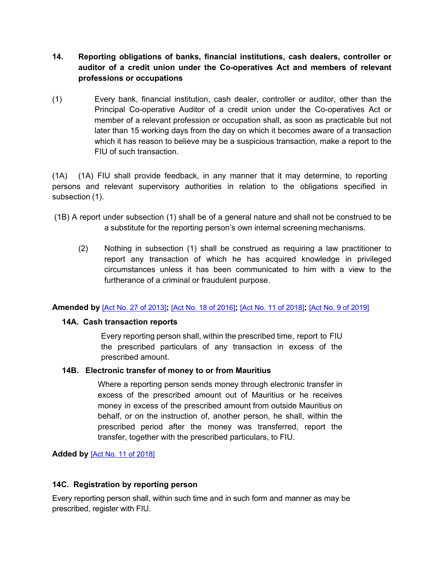- <span id="page-17-0"></span>**14. Reporting obligations of banks, financial institutions, cash dealers, controller or auditor of a credit union under the Co-operatives Act and members of relevant professions or occupations**
- (1) Every bank, financial institution, cash dealer, controller or auditor, other than the Principal Co-operative Auditor of a credit union under the Co-operatives Act or member of a relevant profession or occupation shall, as soon as practicable but not later than 15 working days from the day on which it becomes aware of a transaction which it has reason to believe may be a suspicious transaction, make a report to the FIU of such transaction.

(1A) (1A) FIU shall provide feedback, in any manner that it may determine, to reporting persons and relevant supervisory authorities in relation to the obligations specified in subsection (1).

- (1B) A report under subsection (1) shall be of a general nature and shall not be construed to be a substitute for the reporting person's own internal screening mechanisms.
	- (2) Nothing in subsection (1) shall be construed as requiring a law practitioner to report any transaction of which he has acquired knowledge in privileged circumstances unless it has been communicated to him with a view to the furtherance of a criminal or fraudulent purpose.

# <span id="page-17-1"></span>**Amended by** [Act No. 27 of [2013\]](https://supremecourt.govmu.org/_layouts/CLIS.DMS/search/searchdocumentbykey.aspx?ID=%5BAct%20No.%2027%20of%202013%5D&list=Legislations)**;** [Act No. 18 of [2016\]](https://supremecourt.govmu.org/_layouts/CLIS.DMS/search/searchdocumentbykey.aspx?ID=%5BAct%20No.%2018%20of%202016%5D&list=Legislations)**;** [Act No. 11 of [2018\]](https://supremecourt.govmu.org/_layouts/CLIS.DMS/search/searchdocumentbykey.aspx?ID=%5BAct%20No.%2011%20of%202018%5D&list=Legislations)**;** [Act No. 9 of [2019\]](https://supremecourt.govmu.org/_layouts/CLIS.DMS/search/searchdocumentbykey.aspx?ID=%5BAct%20No.%209%20of%202019%5D&list=Legislations)

#### **14A. Cash transaction reports**

Every reporting person shall, within the prescribed time, report to FIU the prescribed particulars of any transaction in excess of the prescribed amount.

# **14B. Electronic transfer of money to or from Mauritius**

Where a reporting person sends money through electronic transfer in excess of the prescribed amount out of Mauritius or he receives money in excess of the prescribed amount from outside Mauritius on behalf, or on the instruction of, another person, he shall, within the prescribed period after the money was transferred, report the transfer, together with the prescribed particulars, to FIU.

**Added by** [Act No. 11 of [2018\]](https://supremecourt.govmu.org/_layouts/CLIS.DMS/search/searchdocumentbykey.aspx?ID=%5BAct%20No.%2011%20of%202018%5D&list=Legislations)

# **14C. Registration by reporting person**

Every reporting person shall, within such time and in such form and manner as may be prescribed, register with FIU.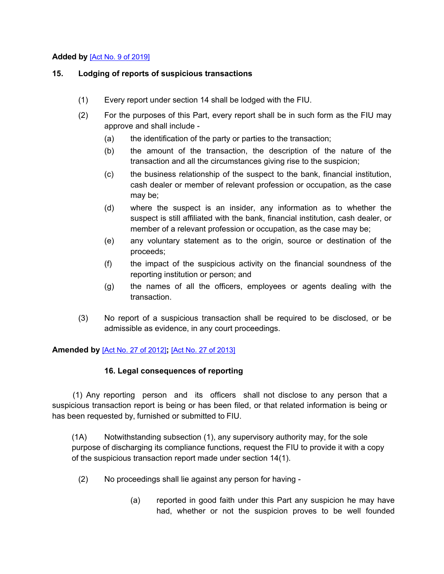# **Added by** [Act No. 9 of [2019\]](https://supremecourt.govmu.org/_layouts/CLIS.DMS/search/searchdocumentbykey.aspx?ID=%5BAct%20No.%209%20of%202019%5D&list=Legislations)

### **15. Lodging of reports of suspicious transactions**

- (1) Every report under section 14 shall be lodged with the FIU.
- (2) For the purposes of this Part, every report shall be in such form as the FIU may approve and shall include -
	- (a) the identification of the party or parties to the transaction;
	- (b) the amount of the transaction, the description of the nature of the transaction and all the circumstances giving rise to the suspicion;
	- (c) the business relationship of the suspect to the bank, financial institution, cash dealer or member of relevant profession or occupation, as the case may be;
	- (d) where the suspect is an insider, any information as to whether the suspect is still affiliated with the bank, financial institution, cash dealer, or member of a relevant profession or occupation, as the case may be;
	- (e) any voluntary statement as to the origin, source or destination of the proceeds;
	- (f) the impact of the suspicious activity on the financial soundness of the reporting institution or person; and
	- (g) the names of all the officers, employees or agents dealing with the transaction.
- <span id="page-18-0"></span>(3) No report of a suspicious transaction shall be required to be disclosed, or be admissible as evidence, in any court proceedings.

**Amended by** [Act No. 27 of [2012\]](https://supremecourt.govmu.org/_layouts/CLIS.DMS/search/searchdocumentbykey.aspx?ID=%5BAct%20No.%2027%20of%202012%5D&list=Legislations)**;** [Act No. 27 of [2013\]](https://supremecourt.govmu.org/_layouts/CLIS.DMS/search/searchdocumentbykey.aspx?ID=%5BAct%20No.%2027%20of%202013%5D&list=Legislations)

# **16. Legal consequences of reporting**

(1) Any reporting person and its officers shall not disclose to any person that a suspicious transaction report is being or has been filed, or that related information is being or has been requested by, furnished or submitted to FIU.

(1A) Notwithstanding subsection (1), any supervisory authority may, for the sole purpose of discharging its compliance functions, request the FIU to provide it with a copy of the suspicious transaction report made under section 14(1).

- (2) No proceedings shall lie against any person for having
	- (a) reported in good faith under this Part any suspicion he may have had, whether or not the suspicion proves to be well founded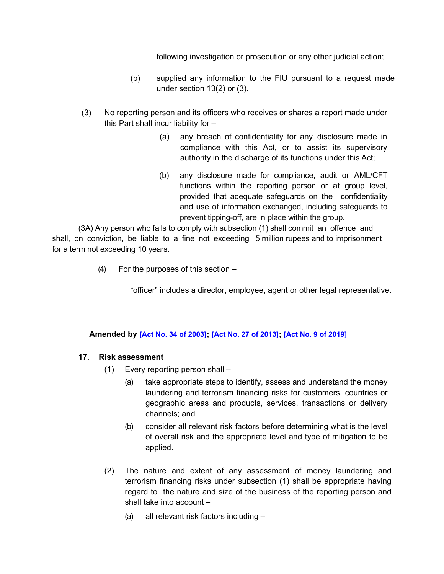following investigation or prosecution or any other judicial action;

- (b) supplied any information to the FIU pursuant to a request made under section 13(2) or (3).
- (3) No reporting person and its officers who receives or shares a report made under this Part shall incur liability for –
	- (a) any breach of confidentiality for any disclosure made in compliance with this Act, or to assist its supervisory authority in the discharge of its functions under this Act;
	- (b) any disclosure made for compliance, audit or AML/CFT functions within the reporting person or at group level, provided that adequate safeguards on the confidentiality and use of information exchanged, including safeguards to prevent tipping-off, are in place within the group.

(3A) Any person who fails to comply with subsection (1) shall commit an offence and shall, on conviction, be liable to a fine not exceeding 5 million rupees and to imprisonment for a term not exceeding 10 years.

(4) For the purposes of this section –

"officer" includes a director, employee, agent or other legal representative.

# **Amended by [Act No. 34 of [2003\]](https://supremecourt.govmu.org/_layouts/CLIS.DMS/search/searchdocumentbykey.aspx?ID=%5BAct%20No.%2034%20of%202003%5D&list=Legislations); [Act No. 27 of [2013\]](https://supremecourt.govmu.org/_layouts/CLIS.DMS/search/searchdocumentbykey.aspx?ID=%5BAct%20No.%2027%20of%202013%5D&list=Legislations); [Act No. 9 of [2019\]](https://supremecourt.govmu.org/_layouts/CLIS.DMS/search/searchdocumentbykey.aspx?ID=%5BAct%20No.%209%20of%202019%5D&list=Legislations)**

# **17. Risk assessment**

- (1) Every reporting person shall
	- (a) take appropriate steps to identify, assess and understand the money laundering and terrorism financing risks for customers, countries or geographic areas and products, services, transactions or delivery channels; and
	- (b) consider all relevant risk factors before determining what is the level of overall risk and the appropriate level and type of mitigation to be applied.
- (2) The nature and extent of any assessment of money laundering and terrorism financing risks under subsection (1) shall be appropriate having regard to the nature and size of the business of the reporting person and shall take into account –
	- (a) all relevant risk factors including –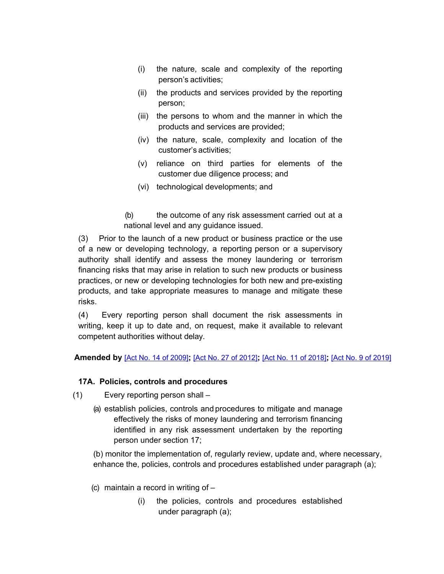- (i) the nature, scale and complexity of the reporting person's activities;
- (ii) the products and services provided by the reporting person;
- (iii) the persons to whom and the manner in which the products and services are provided;
- (iv) the nature, scale, complexity and location of the customer's activities;
- (v) reliance on third parties for elements of the customer due diligence process; and
- (vi) technological developments; and
- (b) the outcome of any risk assessment carried out at a national level and any guidance issued.

(3) Prior to the launch of a new product or business practice or the use of a new or developing technology, a reporting person or a supervisory authority shall identify and assess the money laundering or terrorism financing risks that may arise in relation to such new products or business practices, or new or developing technologies for both new and pre-existing products, and take appropriate measures to manage and mitigate these risks.

(4) Every reporting person shall document the risk assessments in writing, keep it up to date and, on request, make it available to relevant competent authorities without delay.

# **Amended by** [Act No. 14 of [2009\]](https://supremecourt.govmu.org/_layouts/CLIS.DMS/search/searchdocumentbykey.aspx?ID=%5BAct%20No.%2014%20of%202009%5D&list=Legislations)**;** [Act No. 27 of [2012\]](https://supremecourt.govmu.org/_layouts/CLIS.DMS/search/searchdocumentbykey.aspx?ID=%5BAct%20No.%2027%20of%202012%5D&list=Legislations)**;** [Act No. 11 of [2018\]](https://supremecourt.govmu.org/_layouts/CLIS.DMS/search/searchdocumentbykey.aspx?ID=%5BAct%20No.%2011%20of%202018%5D&list=Legislations)**;** [Act No. 9 of [2019\]](https://supremecourt.govmu.org/_layouts/CLIS.DMS/search/searchdocumentbykey.aspx?ID=%5BAct%20No.%209%20of%202019%5D&list=Legislations)

# **17A. Policies, controls and procedures**

- (1) Every reporting person shall
	- (a) establish policies, controls and procedures to mitigate and manage effectively the risks of money laundering and terrorism financing identified in any risk assessment undertaken by the reporting person under section 17;

(b) monitor the implementation of, regularly review, update and, where necessary, enhance the, policies, controls and procedures established under paragraph (a);

- (c) maintain a record in writing of
	- (i) the policies, controls and procedures established under paragraph (a);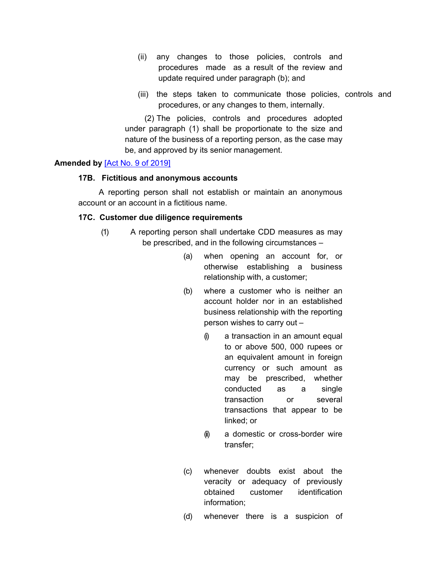- (ii) any changes to those policies, controls and procedures made as a result of the review and update required under paragraph (b); and
- (iii) the steps taken to communicate those policies, controls and procedures, or any changes to them, internally.

(2) The policies, controls and procedures adopted under paragraph (1) shall be proportionate to the size and nature of the business of a reporting person, as the case may be, and approved by its senior management.

### **Amended by** [Act No. 9 of [2019\]](https://supremecourt.govmu.org/_layouts/CLIS.DMS/search/searchdocumentbykey.aspx?ID=%5BAct%20No.%209%20of%202019%5D&list=Legislations)

#### **17B. Fictitious and anonymous accounts**

A reporting person shall not establish or maintain an anonymous account or an account in a fictitious name.

#### **17C. Customer due diligence requirements**

- (1) A reporting person shall undertake CDD measures as may be prescribed, and in the following circumstances –
	- (a) when opening an account for, or otherwise establishing a business relationship with, a customer;
	- (b) where a customer who is neither an account holder nor in an established business relationship with the reporting person wishes to carry out –
		- $(i)$  a transaction in an amount equal to or above 500, 000 rupees or an equivalent amount in foreign currency or such amount as may be prescribed, whether conducted as a single transaction or several transactions that appear to be linked; or
		- (ii) a domestic or cross-border wire transfer;
	- (c) whenever doubts exist about the veracity or adequacy of previously obtained customer identification information;
	- (d) whenever there is a suspicion of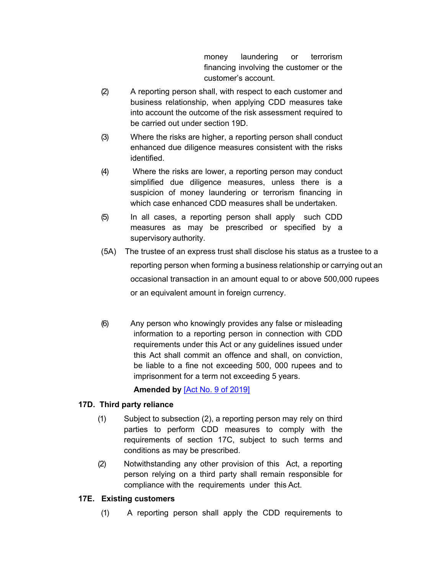money laundering or terrorism financing involving the customer or the customer's account.

- (2) A reporting person shall, with respect to each customer and business relationship, when applying CDD measures take into account the outcome of the risk assessment required to be carried out under section 19D.
- (3) Where the risks are higher, a reporting person shall conduct enhanced due diligence measures consistent with the risks identified.
- (4) Where the risks are lower, a reporting person may conduct simplified due diligence measures, unless there is a suspicion of money laundering or terrorism financing in which case enhanced CDD measures shall be undertaken.
- (5) In all cases, a reporting person shall apply such CDD measures as may be prescribed or specified by a supervisory authority.
- (5A) The trustee of an express trust shall disclose his status as a trustee to a reporting person when forming a business relationship or carrying out an occasional transaction in an amount equal to or above 500,000 rupees or an equivalent amount in foreign currency.
- (6) Any person who knowingly provides any false or misleading information to a reporting person in connection with CDD requirements under this Act or any guidelines issued under this Act shall commit an offence and shall, on conviction, be liable to a fine not exceeding 500, 000 rupees and to imprisonment for a term not exceeding 5 years.

**Amended by** [Act No. 9 of [2019\]](https://supremecourt.govmu.org/_layouts/CLIS.DMS/search/searchdocumentbykey.aspx?ID=%5BAct%20No.%209%20of%202019%5D&list=Legislations)

# **17D. Third party reliance**

- (1) Subject to subsection (2), a reporting person may rely on third parties to perform CDD measures to comply with the requirements of section 17C, subject to such terms and conditions as may be prescribed.
- (2) Notwithstanding any other provision of this Act, a reporting person relying on a third party shall remain responsible for compliance with the requirements under this Act.

# **17E. Existing customers**

(1) A reporting person shall apply the CDD requirements to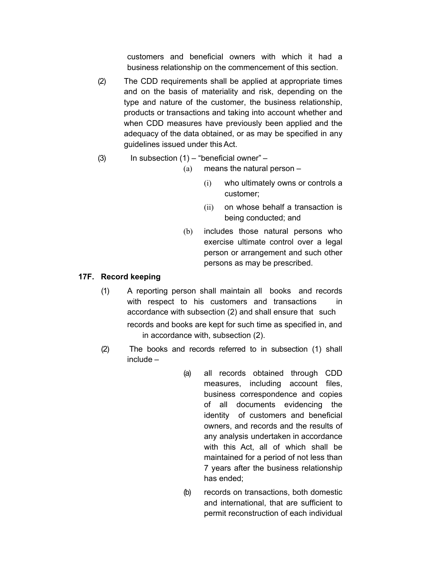customers and beneficial owners with which it had a business relationship on the commencement of this section.

- (2) The CDD requirements shall be applied at appropriate times and on the basis of materiality and risk, depending on the type and nature of the customer, the business relationship, products or transactions and taking into account whether and when CDD measures have previously been applied and the adequacy of the data obtained, or as may be specified in any guidelines issued under thisAct.
- (3) In subsection  $(1)$  "beneficial owner"
	- (a) means the natural person
		- (i) who ultimately owns or controls a customer;
		- (ii) on whose behalf a transaction is being conducted; and
	- (b) includes those natural persons who exercise ultimate control over a legal person or arrangement and such other persons as may be prescribed.

# **17F. Record keeping**

- (1) A reporting person shall maintain all books and records with respect to his customers and transactions in accordance with subsection (2) and shall ensure that such records and books are kept for such time as specified in, and in accordance with, subsection (2).
- (2) The books and records referred to in subsection (1) shall include –
	- (a) all records obtained through CDD measures, including account files, business correspondence and copies of all documents evidencing the identity of customers and beneficial owners, and records and the results of any analysis undertaken in accordance with this Act, all of which shall be maintained for a period of not less than 7 years after the business relationship has ended;
	- (b) records on transactions, both domestic and international, that are sufficient to permit reconstruction of each individual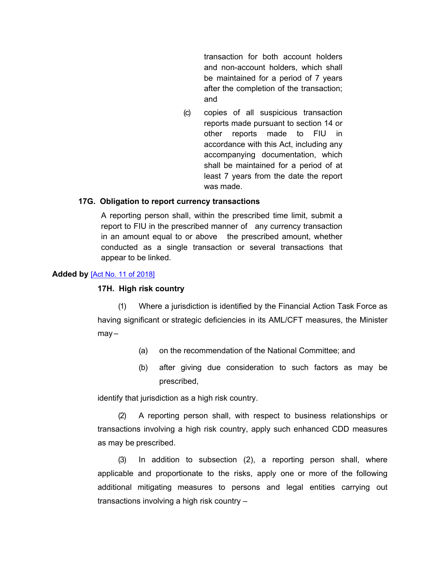transaction for both account holders and non-account holders, which shall be maintained for a period of 7 years after the completion of the transaction; and

(c) copies of all suspicious transaction reports made pursuant to section 14 or other reports made to FIU in accordance with this Act, including any accompanying documentation, which shall be maintained for a period of at least 7 years from the date the report was made.

#### **17G. Obligation to report currency transactions**

A reporting person shall, within the prescribed time limit, submit a report to FIU in the prescribed manner of any currency transaction in an amount equal to or above the prescribed amount, whether conducted as a single transaction or several transactions that appear to be linked.

#### **Added by** [Act No. 11 of [2018\]](https://supremecourt.govmu.org/_layouts/CLIS.DMS/search/searchdocumentbykey.aspx?ID=%5BAct%20No.%2011%20of%202018%5D&list=Legislations)

#### **17H. High risk country**

(1) Where a jurisdiction is identified by the Financial Action Task Force as having significant or strategic deficiencies in its AML/CFT measures, the Minister  $may -$ 

- (a) on the recommendation of the National Committee; and
- (b) after giving due consideration to such factors as may be prescribed,

identify that jurisdiction as a high risk country.

(2) A reporting person shall, with respect to business relationships or transactions involving a high risk country, apply such enhanced CDD measures as may be prescribed.

(3) In addition to subsection (2), a reporting person shall, where applicable and proportionate to the risks, apply one or more of the following additional mitigating measures to persons and legal entities carrying out transactions involving a high risk country –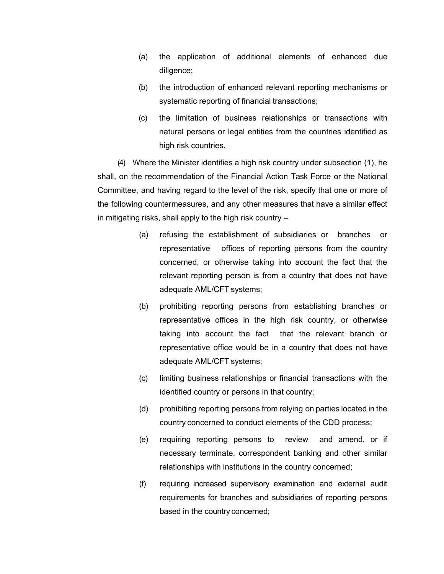- (a) the application of additional elements of enhanced due diligence;
- (b) the introduction of enhanced relevant reporting mechanisms or systematic reporting of financial transactions;
- (c) the limitation of business relationships or transactions with natural persons or legal entities from the countries identified as high risk countries.

(4) Where the Minister identifies a high risk country under subsection (1), he shall, on the recommendation of the Financial Action Task Force or the National Committee, and having regard to the level of the risk, specify that one or more of the following countermeasures, and any other measures that have a similar effect in mitigating risks, shall apply to the high risk country –

- (a) refusing the establishment of subsidiaries or branches or representative offices of reporting persons from the country concerned, or otherwise taking into account the fact that the relevant reporting person is from a country that does not have adequate AML/CFT systems;
- (b) prohibiting reporting persons from establishing branches or representative offices in the high risk country, or otherwise taking into account the fact that the relevant branch or representative office would be in a country that does not have adequate AML/CFT systems;
- (c) limiting business relationships or financial transactions with the identified country or persons in that country;
- (d) prohibiting reporting persons from relying on parties located in the country concerned to conduct elements of the CDD process;
- (e) requiring reporting persons to review and amend, or if necessary terminate, correspondent banking and other similar relationships with institutions in the country concerned;
- (f) requiring increased supervisory examination and external audit requirements for branches and subsidiaries of reporting persons based in the country concerned;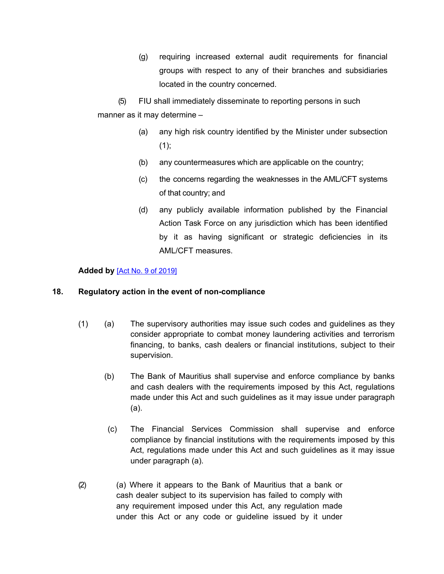(g) requiring increased external audit requirements for financial groups with respect to any of their branches and subsidiaries located in the country concerned.

(5) FIU shall immediately disseminate to reporting persons in such manner as it may determine –

- (a) any high risk country identified by the Minister under subsection  $(1);$
- (b) any countermeasures which are applicable on the country;
- (c) the concerns regarding the weaknesses in the AML/CFT systems of that country; and
- (d) any publicly available information published by the Financial Action Task Force on any jurisdiction which has been identified by it as having significant or strategic deficiencies in its AML/CFT measures.

# <span id="page-26-0"></span>**Added by** [Act No. 9 of [2019\]](https://supremecourt.govmu.org/_layouts/CLIS.DMS/search/searchdocumentbykey.aspx?ID=%5BAct%20No.%209%20of%202019%5D&list=Legislations)

# **18. Regulatory action in the event of non-compliance**

- (1) (a) The supervisory authorities may issue such codes and guidelines as they consider appropriate to combat money laundering activities and terrorism financing, to banks, cash dealers or financial institutions, subject to their supervision.
	- (b) The Bank of Mauritius shall supervise and enforce compliance by banks and cash dealers with the requirements imposed by this Act, regulations made under this Act and such guidelines as it may issue under paragraph (a).
	- (c) The Financial Services Commission shall supervise and enforce compliance by financial institutions with the requirements imposed by this Act, regulations made under this Act and such guidelines as it may issue under paragraph (a).
- (2) (a) Where it appears to the Bank of Mauritius that a bank or cash dealer subject to its supervision has failed to comply with any requirement imposed under this Act, any regulation made under this Act or any code or guideline issued by it under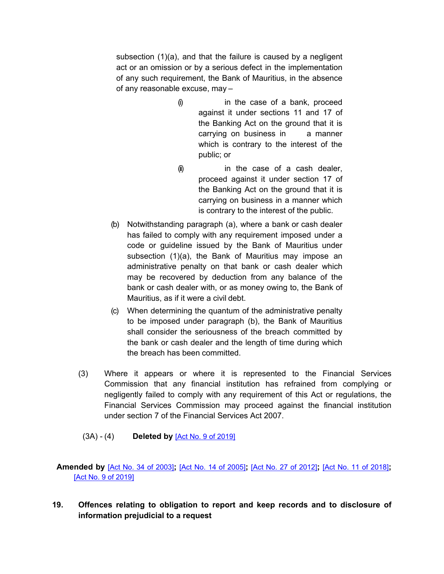subsection (1)(a), and that the failure is caused by a negligent act or an omission or by a serious defect in the implementation of any such requirement, the Bank of Mauritius, in the absence of any reasonable excuse, may –

- (i) in the case of a bank, proceed against it under sections 11 and 17 of the Banking Act on the ground that it is carrying on business in a manner which is contrary to the interest of the public; or
- (ii) in the case of a cash dealer, proceed against it under section 17 of the Banking Act on the ground that it is carrying on business in a manner which is contrary to the interest of the public.
- (b) Notwithstanding paragraph (a), where a bank or cash dealer has failed to comply with any requirement imposed under a code or guideline issued by the Bank of Mauritius under subsection (1)(a), the Bank of Mauritius may impose an administrative penalty on that bank or cash dealer which may be recovered by deduction from any balance of the bank or cash dealer with, or as money owing to, the Bank of Mauritius, as if it were a civil debt.
- (c) When determining the quantum of the administrative penalty to be imposed under paragraph (b), the Bank of Mauritius shall consider the seriousness of the breach committed by the bank or cash dealer and the length of time during which the breach has been committed.
- (3) Where it appears or where it is represented to the Financial Services Commission that any financial institution has refrained from complying or negligently failed to comply with any requirement of this Act or regulations, the Financial Services Commission may proceed against the financial institution under section 7 of the Financial Services Act 2007.
- (3A) (4) **Deleted by** [Act No. 9 of [2019\]](https://supremecourt.govmu.org/_layouts/CLIS.DMS/search/searchdocumentbykey.aspx?ID=%5BAct%20No.%209%20of%202019%5D&list=Legislations)

# <span id="page-27-0"></span> **Amended by** [Act No. 34 of [2003\]](https://supremecourt.govmu.org/_layouts/CLIS.DMS/search/searchdocumentbykey.aspx?ID=%5BAct%20No.%2034%20of%202003%5D&list=Legislations)**;** [Act No. 14 of [2005\]](https://supremecourt.govmu.org/_layouts/CLIS.DMS/search/searchdocumentbykey.aspx?ID=%5BAct%20No.%2014%20of%202005%5D&list=Legislations)**;** [Act No. 27 of [2012\]](https://supremecourt.govmu.org/_layouts/CLIS.DMS/search/searchdocumentbykey.aspx?ID=%5BAct%20No.%2027%20of%202012%5D&list=Legislations)**;** [Act No. 11 of [2018\]](https://supremecourt.govmu.org/_layouts/CLIS.DMS/search/searchdocumentbykey.aspx?ID=%5BAct%20No.%2011%20of%202018%5D&list=Legislations)**;** [Act No. 9 of [2019\]](https://supremecourt.govmu.org/_layouts/CLIS.DMS/search/searchdocumentbykey.aspx?ID=%5BAct%20No.%209%20of%202019%5D&list=Legislations)

**19. Offences relating to obligation to report and keep records and to disclosure of information prejudicial to a request**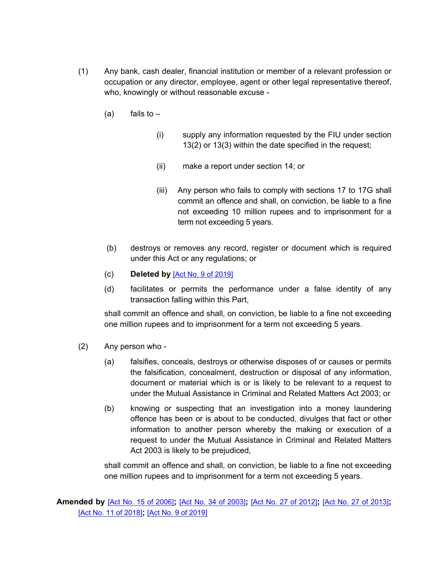- (1) Any bank, cash dealer, financial institution or member of a relevant profession or occupation or any director, employee, agent or other legal representative thereof, who, knowingly or without reasonable excuse -
	- $(a)$  fails to  $-$ 
		- (i) supply any information requested by the FIU under section 13(2) or 13(3) within the date specified in the request;
		- (ii) make a report under section 14; or
		- (iii) Any person who fails to comply with sections 17 to 17G shall commit an offence and shall, on conviction, be liable to a fine not exceeding 10 million rupees and to imprisonment for a term not exceeding 5 years.
	- (b) destroys or removes any record, register or document which is required under this Act or any regulations; or
	- (c) **Deleted by** [Act No. 9 of [2019\]](https://supremecourt.govmu.org/_layouts/CLIS.DMS/search/searchdocumentbykey.aspx?ID=%5BAct%20No.%209%20of%202019%5D&list=Legislations)
	- (d) facilitates or permits the performance under a false identity of any transaction falling within this Part,

shall commit an offence and shall, on conviction, be liable to a fine not exceeding one million rupees and to imprisonment for a term not exceeding 5 years.

- (2) Any person who
	- (a) falsifies, conceals, destroys or otherwise disposes of or causes or permits the falsification, concealment, destruction or disposal of any information, document or material which is or is likely to be relevant to a request to under the Mutual Assistance in Criminal and Related Matters Act 2003; or
	- (b) knowing or suspecting that an investigation into a money laundering offence has been or is about to be conducted, divulges that fact or other information to another person whereby the making or execution of a request to under the Mutual Assistance in Criminal and Related Matters Act 2003 is likely to be prejudiced,

shall commit an offence and shall, on conviction, be liable to a fine not exceeding one million rupees and to imprisonment for a term not exceeding 5 years.

 **Amended by** [Act No. 15 of [2006\]](https://supremecourt.govmu.org/_layouts/CLIS.DMS/search/searchdocumentbykey.aspx?ID=%5BAct%20No.%2015%20of%202006%5D&list=Legislations)**;** [Act No. 34 of [2003\]](https://supremecourt.govmu.org/_layouts/CLIS.DMS/search/searchdocumentbykey.aspx?ID=%5BAct%20No.%2034%20of%202003%5D&list=Legislations)**;** [Act No. 27 of [2012\]](https://supremecourt.govmu.org/_layouts/CLIS.DMS/search/searchdocumentbykey.aspx?ID=%5BAct%20No.%2027%20of%202012%5D&list=Legislations)**;** [Act No. 27 of [2013\]](https://supremecourt.govmu.org/_layouts/CLIS.DMS/search/searchdocumentbykey.aspx?ID=%5BAct%20No.%2027%20of%202013%5D&list=Legislations)**;** [Act No. 11 of [2018\]](https://supremecourt.govmu.org/_layouts/CLIS.DMS/search/searchdocumentbykey.aspx?ID=%5BAct%20No.%2011%20of%202018%5D&list=Legislations)**;** [Act No. 9 of [2019\]](https://supremecourt.govmu.org/_layouts/CLIS.DMS/search/searchdocumentbykey.aspx?ID=%5BAct%20No.%209%20of%202019%5D&list=Legislations)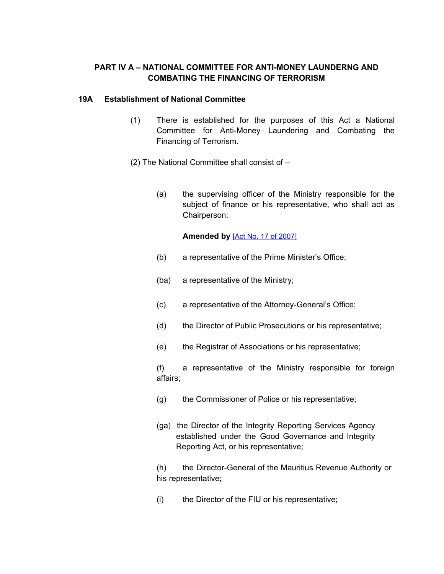# **PART IV A – NATIONAL COMMITTEE FOR ANTI-MONEY LAUNDERNG AND COMBATING THE FINANCING OF TERRORISM**

# **19A Establishment of National Committee**

- (1) There is established for the purposes of this Act a National Committee for Anti-Money Laundering and Combating the Financing of Terrorism.
- (2) The National Committee shall consist of
	- (a) the supervising officer of the Ministry responsible for the subject of finance or his representative, who shall act as Chairperson:

# **Amended by** [Act No. 17 of [2007\]](https://supremecourt.govmu.org/_layouts/CLIS.DMS/search/searchdocumentbykey.aspx?ID=%5BAct%20No.%2017%20of%202007%5D&list=Legislations)

- (b) a representative of the Prime Minister's Office;
- (ba) a representative of the Ministry;
- (c) a representative of the Attorney-General's Office;
- (d) the Director of Public Prosecutions or his representative;
- (e) the Registrar of Associations or his representative;

(f) a representative of the Ministry responsible for foreign affairs;

- (g) the Commissioner of Police or his representative;
- (ga) the Director of the Integrity Reporting Services Agency established under the Good Governance and Integrity Reporting Act, or his representative;

(h) the Director-General of the Mauritius Revenue Authority or his representative;

(i) the Director of the FIU or his representative;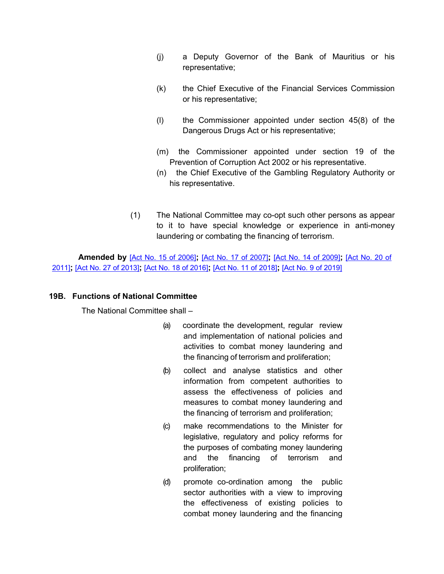- (j) a Deputy Governor of the Bank of Mauritius or his representative;
- (k) the Chief Executive of the Financial Services Commission or his representative;
- (l) the Commissioner appointed under section 45(8) of the Dangerous Drugs Act or his representative;
- (m) the Commissioner appointed under section 19 of the Prevention of Corruption Act 2002 or his representative.
- (n) the Chief Executive of the Gambling Regulatory Authority or his representative.
- (1) The National Committee may co-opt such other persons as appear to it to have special knowledge or experience in anti-money laundering or combating the financing of terrorism.

**Amended by** [Act No. 15 of [2006\]](https://supremecourt.govmu.org/_layouts/CLIS.DMS/search/searchdocumentbykey.aspx?ID=%5BAct%20No.%2015%20of%202006%5D&list=Legislations)**;** [Act No. 17 of [2007\]](https://supremecourt.govmu.org/_layouts/CLIS.DMS/search/searchdocumentbykey.aspx?ID=%5BAct%20No.%2017%20of%202007%5D&list=Legislations)**;** [Act No. 14 of [2009\]](https://supremecourt.govmu.org/_layouts/CLIS.DMS/search/searchdocumentbykey.aspx?ID=%5BAct%20No.%2014%20of%202009%5D&list=Legislations)**;** [\[Act](https://supremecourt.govmu.org/_layouts/CLIS.DMS/search/searchdocumentbykey.aspx?ID=%5BAct%20No.%2020%20of%202011%5D&list=Legislations) No. 20 of [2011\]](https://supremecourt.govmu.org/_layouts/CLIS.DMS/search/searchdocumentbykey.aspx?ID=%5BAct%20No.%2020%20of%202011%5D&list=Legislations)**;** [Act No. 27 of [2013\]](https://supremecourt.govmu.org/_layouts/CLIS.DMS/search/searchdocumentbykey.aspx?ID=%5BAct%20No.%2027%20of%202013%5D&list=Legislations)**;** [Act No. 18 of [2016\]](https://supremecourt.govmu.org/_layouts/CLIS.DMS/search/searchdocumentbykey.aspx?ID=%5BAct%20No.%2018%20of%202016%5D&list=Legislations)**;** [Act No. 11 of [2018\]](https://supremecourt.govmu.org/_layouts/CLIS.DMS/search/searchdocumentbykey.aspx?ID=%5BAct%20No.%2011%20of%202018%5D&list=Legislations)**;** [Act No. 9 of [2019\]](https://supremecourt.govmu.org/_layouts/CLIS.DMS/search/searchdocumentbykey.aspx?ID=%5BAct%20No.%209%20of%202019%5D&list=Legislations)

# **19B. Functions of National Committee**

The National Committee shall –

- (a) coordinate the development, regular review and implementation of national policies and activities to combat money laundering and the financing of terrorism and proliferation;
- (b) collect and analyse statistics and other information from competent authorities to assess the effectiveness of policies and measures to combat money laundering and the financing of terrorism and proliferation;
- (c) make recommendations to the Minister for legislative, regulatory and policy reforms for the purposes of combating money laundering and the financing of terrorism and proliferation;
- (d) promote co-ordination among the public sector authorities with a view to improving the effectiveness of existing policies to combat money laundering and the financing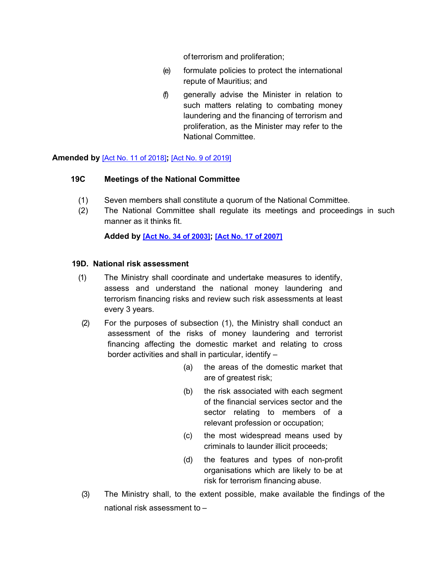of terrorism and proliferation;

- (e) formulate policies to protect the international repute of Mauritius; and
- (f) generally advise the Minister in relation to such matters relating to combating money laundering and the financing of terrorism and proliferation, as the Minister may refer to the National Committee.

**Amended by** [Act No. 11 of [2018\]](https://supremecourt.govmu.org/_layouts/CLIS.DMS/search/searchdocumentbykey.aspx?ID=%5BAct%20No.%2011%20of%202018%5D&list=Legislations)**;** [Act No. 9 of [2019\]](https://supremecourt.govmu.org/_layouts/CLIS.DMS/search/searchdocumentbykey.aspx?ID=%5BAct%20No.%209%20of%202019%5D&list=Legislations)

### **19C Meetings of the National Committee**

- (1) Seven members shall constitute a quorum of the National Committee.
- (2) The National Committee shall regulate its meetings and proceedings in such manner as it thinks fit.

**Added by [Act No. 34 of [2003\]](https://supremecourt.govmu.org/_layouts/CLIS.DMS/search/searchdocumentbykey.aspx?ID=%5BAct%20No.%2034%20of%202003%5D&list=Legislations); [Act No. 17 of [2007\]](https://supremecourt.govmu.org/_layouts/CLIS.DMS/search/searchdocumentbykey.aspx?ID=%5BAct%20No.%2017%20of%202007%5D&list=Legislations)**

### **19D. National risk assessment**

- (1) The Ministry shall coordinate and undertake measures to identify, assess and understand the national money laundering and terrorism financing risks and review such risk assessments at least every 3 years.
- (2) For the purposes of subsection (1), the Ministry shall conduct an assessment of the risks of money laundering and terrorist financing affecting the domestic market and relating to cross border activities and shall in particular, identify –
	- (a) the areas of the domestic market that are of greatest risk;
	- (b) the risk associated with each segment of the financial services sector and the sector relating to members of a relevant profession or occupation;
	- (c) the most widespread means used by criminals to launder illicit proceeds;
	- (d) the features and types of non-profit organisations which are likely to be at risk for terrorism financing abuse.
- (3) The Ministry shall, to the extent possible, make available the findings of the national risk assessment to –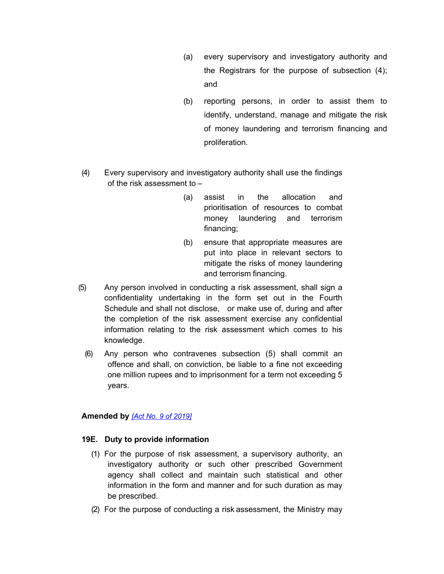- (a) every supervisory and investigatory authority and the Registrars for the purpose of subsection (4); and
- (b) reporting persons, in order to assist them to identify, understand, manage and mitigate the risk of money laundering and terrorism financing and proliferation.
- (4) Every supervisory and investigatory authority shall use the findings of the risk assessment to –
	- (a) assist in the allocation and prioritisation of resources to combat money laundering and terrorism financing;
	- (b) ensure that appropriate measures are put into place in relevant sectors to mitigate the risks of money laundering and terrorism financing.
- (5) Any person involved in conducting a risk assessment, shall sign a confidentiality undertaking in the form set out in the Fourth Schedule and shall not disclose, or make use of, during and after the completion of the risk assessment exercise any confidential information relating to the risk assessment which comes to his knowledge.
	- (6) Any person who contravenes subsection (5) shall commit an offence and shall, on conviction, be liable to a fine not exceeding one million rupees and to imprisonment for a term not exceeding 5 years.

# **Amended by** *[Act No. 9 of [2019\]](https://supremecourt.govmu.org/_layouts/CLIS.DMS/search/searchdocumentbykey.aspx?ID=%5BAct%20No.%209%20of%202019%5D&list=Legislations)*

#### **19E. Duty to provide information**

- (1) For the purpose of risk assessment, a supervisory authority, an investigatory authority or such other prescribed Government agency shall collect and maintain such statistical and other information in the form and manner and for such duration as may be prescribed.
- (2) For the purpose of conducting a risk assessment, the Ministry may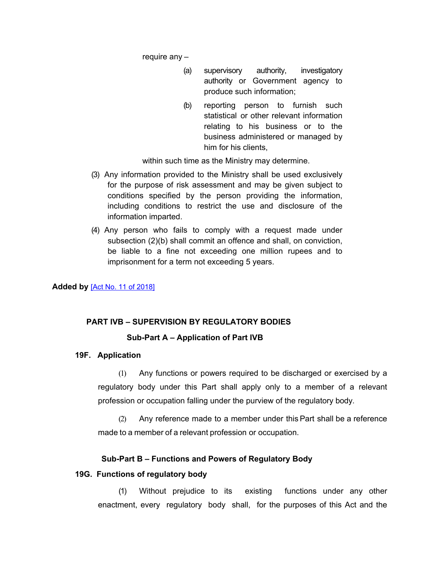require any –

- (a) supervisory authority, investigatory authority or Government agency to produce such information;
- (b) reporting person to furnish such statistical or other relevant information relating to his business or to the business administered or managed by him for his clients,

within such time as the Ministry may determine.

- (3) Any information provided to the Ministry shall be used exclusively for the purpose of risk assessment and may be given subject to conditions specified by the person providing the information, including conditions to restrict the use and disclosure of the information imparted.
- (4) Any person who fails to comply with a request made under subsection (2)(b) shall commit an offence and shall, on conviction, be liable to a fine not exceeding one million rupees and to imprisonment for a term not exceeding 5 years.

**Added by** [Act No. 11 of [2018\]](https://supremecourt.govmu.org/_layouts/CLIS.DMS/search/searchdocumentbykey.aspx?ID=%5BAct%20No.%2011%20of%202018%5D&list=Legislations)

# **PART IVB – SUPERVISION BY REGULATORY BODIES**

# **Sub-Part A – Application of Part IVB**

#### **19F. Application**

(1) Any functions or powers required to be discharged or exercised by a regulatory body under this Part shall apply only to a member of a relevant profession or occupation falling under the purview of the regulatory body.

(2) Any reference made to a member under this Part shall be a reference made to a member of a relevant profession or occupation.

#### **Sub-Part B – Functions and Powers of Regulatory Body**

#### **19G. Functions of regulatory body**

(1) Without prejudice to its existing functions under any other enactment, every regulatory body shall, for the purposes of this Act and the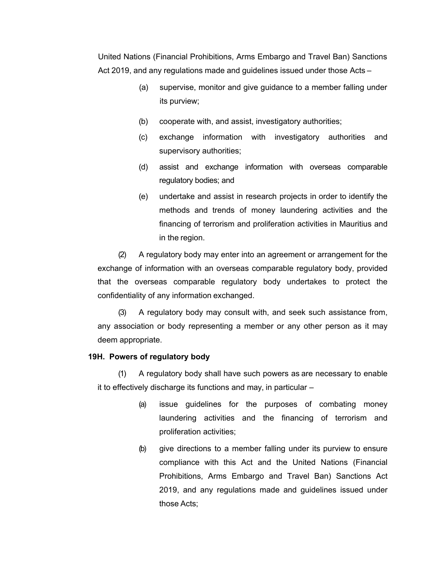United Nations (Financial Prohibitions, Arms Embargo and Travel Ban) Sanctions Act 2019, and any regulations made and guidelines issued under those Acts –

- (a) supervise, monitor and give guidance to a member falling under its purview;
- (b) cooperate with, and assist, investigatory authorities;
- (c) exchange information with investigatory authorities and supervisory authorities;
- (d) assist and exchange information with overseas comparable regulatory bodies; and
- (e) undertake and assist in research projects in order to identify the methods and trends of money laundering activities and the financing of terrorism and proliferation activities in Mauritius and in the region.

(2) A regulatory body may enter into an agreement or arrangement for the exchange of information with an overseas comparable regulatory body, provided that the overseas comparable regulatory body undertakes to protect the confidentiality of any information exchanged.

(3) A regulatory body may consult with, and seek such assistance from, any association or body representing a member or any other person as it may deem appropriate.

#### **19H. Powers of regulatory body**

(1) A regulatory body shall have such powers as are necessary to enable it to effectively discharge its functions and may, in particular –

- (a) issue guidelines for the purposes of combating money laundering activities and the financing of terrorism and proliferation activities;
- (b) give directions to a member falling under its purview to ensure compliance with this Act and the United Nations (Financial Prohibitions, Arms Embargo and Travel Ban) Sanctions Act 2019, and any regulations made and guidelines issued under those Acts;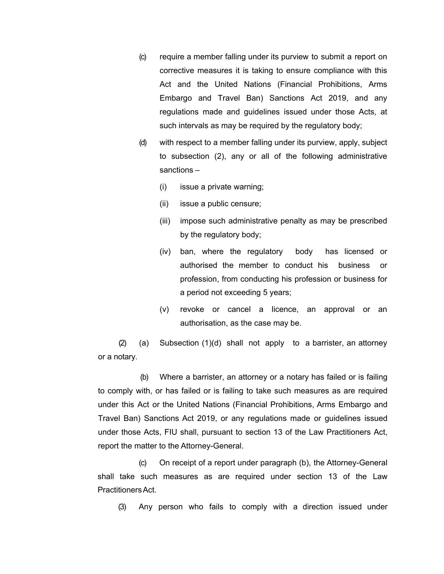- (c) require a member falling under its purview to submit a report on corrective measures it is taking to ensure compliance with this Act and the United Nations (Financial Prohibitions, Arms Embargo and Travel Ban) Sanctions Act 2019, and any regulations made and guidelines issued under those Acts, at such intervals as may be required by the regulatory body;
- (d) with respect to a member falling under its purview, apply, subject to subsection (2), any or all of the following administrative sanctions –
	- (i) issue a private warning;
	- (ii) issue a public censure;
	- (iii) impose such administrative penalty as may be prescribed by the regulatory body;
	- (iv) ban, where the regulatory body has licensed or authorised the member to conduct his business or profession, from conducting his profession or business for a period not exceeding 5 years;
	- (v) revoke or cancel a licence, an approval or an authorisation, as the case may be.

(2) (a) Subsection (1)(d) shall not apply to a barrister, an attorney or a notary.

(b) Where a barrister, an attorney or a notary has failed or is failing to comply with, or has failed or is failing to take such measures as are required under this Act or the United Nations (Financial Prohibitions, Arms Embargo and Travel Ban) Sanctions Act 2019, or any regulations made or guidelines issued under those Acts, FIU shall, pursuant to section 13 of the Law Practitioners Act, report the matter to the Attorney-General.

(c) On receipt of a report under paragraph (b), the Attorney-General shall take such measures as are required under section 13 of the Law PractitionersAct.

(3) Any person who fails to comply with a direction issued under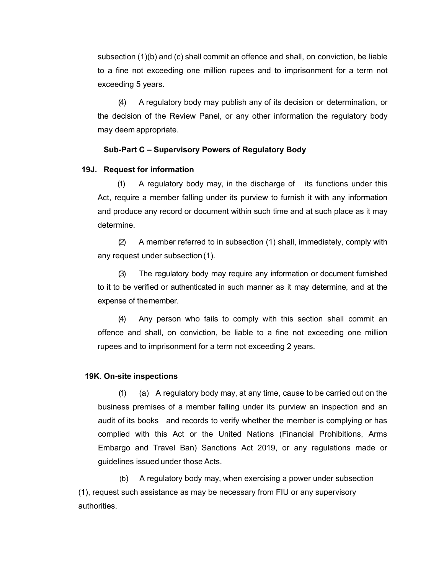subsection (1)(b) and (c) shall commit an offence and shall, on conviction, be liable to a fine not exceeding one million rupees and to imprisonment for a term not exceeding 5 years.

(4) A regulatory body may publish any of its decision or determination, or the decision of the Review Panel, or any other information the regulatory body may deem appropriate.

#### **Sub-Part C – Supervisory Powers of Regulatory Body**

#### **19J. Request for information**

(1) A regulatory body may, in the discharge of its functions under this Act, require a member falling under its purview to furnish it with any information and produce any record or document within such time and at such place as it may determine.

(2) A member referred to in subsection (1) shall, immediately, comply with any request under subsection (1).

(3) The regulatory body may require any information or document furnished to it to be verified or authenticated in such manner as it may determine, and at the expense of themember.

(4) Any person who fails to comply with this section shall commit an offence and shall, on conviction, be liable to a fine not exceeding one million rupees and to imprisonment for a term not exceeding 2 years.

#### **19K. On-site inspections**

(1) (a) A regulatory body may, at any time, cause to be carried out on the business premises of a member falling under its purview an inspection and an audit of its books and records to verify whether the member is complying or has complied with this Act or the United Nations (Financial Prohibitions, Arms Embargo and Travel Ban) Sanctions Act 2019, or any regulations made or guidelines issued under those Acts.

(b) A regulatory body may, when exercising a power under subsection (1), request such assistance as may be necessary from FIU or any supervisory authorities.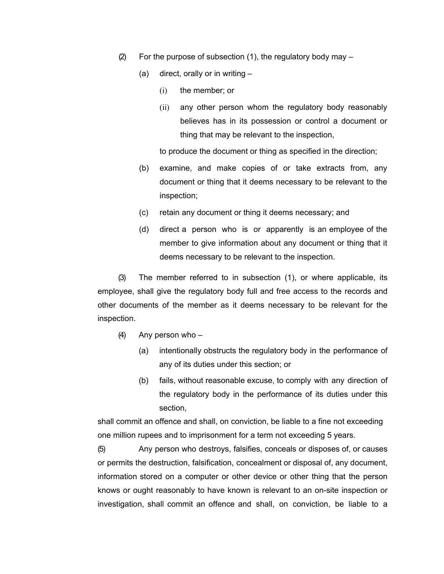- (2) For the purpose of subsection (1), the regulatory body may
	- (a) direct, orally or in writing
		- (i) the member; or
		- (ii) any other person whom the regulatory body reasonably believes has in its possession or control a document or thing that may be relevant to the inspection,

to produce the document or thing as specified in the direction;

- (b) examine, and make copies of or take extracts from, any document or thing that it deems necessary to be relevant to the inspection;
- (c) retain any document or thing it deems necessary; and
- (d) direct a person who is or apparently is an employee of the member to give information about any document or thing that it deems necessary to be relevant to the inspection.

(3) The member referred to in subsection (1), or where applicable, its employee, shall give the regulatory body full and free access to the records and other documents of the member as it deems necessary to be relevant for the inspection.

- (4) Any person who
	- (a) intentionally obstructs the regulatory body in the performance of any of its duties under this section; or
	- (b) fails, without reasonable excuse, to comply with any direction of the regulatory body in the performance of its duties under this section,

shall commit an offence and shall, on conviction, be liable to a fine not exceeding one million rupees and to imprisonment for a term not exceeding 5 years.

(5) Any person who destroys, falsifies, conceals or disposes of, or causes or permits the destruction, falsification, concealment or disposal of, any document, information stored on a computer or other device or other thing that the person knows or ought reasonably to have known is relevant to an on-site inspection or investigation, shall commit an offence and shall, on conviction, be liable to a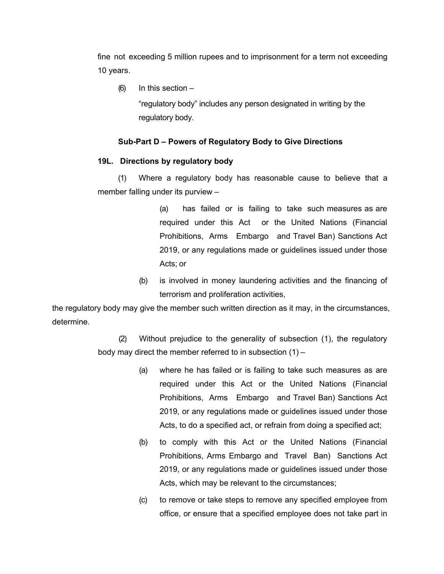fine not exceeding 5 million rupees and to imprisonment for a term not exceeding 10 years.

 $(6)$  In this section  $-$ 

"regulatory body" includes any person designated in writing by the regulatory body.

# **Sub-Part D – Powers of Regulatory Body to Give Directions**

# **19L. Directions by regulatory body**

(1) Where a regulatory body has reasonable cause to believe that a member falling under its purview –

> (a) has failed or is failing to take such measures as are required under this Act or the United Nations (Financial Prohibitions, Arms Embargo and Travel Ban) Sanctions Act 2019, or any regulations made or guidelines issued under those Acts; or

(b) is involved in money laundering activities and the financing of terrorism and proliferation activities,

the regulatory body may give the member such written direction as it may, in the circumstances, determine.

> (2) Without prejudice to the generality of subsection (1), the regulatory body may direct the member referred to in subsection (1) –

- (a) where he has failed or is failing to take such measures as are required under this Act or the United Nations (Financial Prohibitions, Arms Embargo and Travel Ban) Sanctions Act 2019, or any regulations made or guidelines issued under those Acts, to do a specified act, or refrain from doing a specified act;
- (b) to comply with this Act or the United Nations (Financial Prohibitions, Arms Embargo and Travel Ban) Sanctions Act 2019, or any regulations made or guidelines issued under those Acts, which may be relevant to the circumstances;
- (c) to remove or take steps to remove any specified employee from office, or ensure that a specified employee does not take part in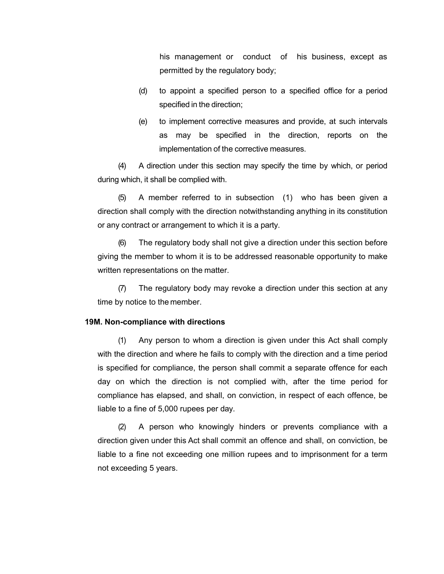his management or conduct of his business, except as permitted by the regulatory body;

- (d) to appoint a specified person to a specified office for a period specified in the direction;
- (e) to implement corrective measures and provide, at such intervals as may be specified in the direction, reports on the implementation of the corrective measures.

(4) A direction under this section may specify the time by which, or period during which, it shall be complied with.

(5) A member referred to in subsection (1) who has been given a direction shall comply with the direction notwithstanding anything in its constitution or any contract or arrangement to which it is a party.

(6) The regulatory body shall not give a direction under this section before giving the member to whom it is to be addressed reasonable opportunity to make written representations on the matter.

(7) The regulatory body may revoke a direction under this section at any time by notice to the member.

#### **19M. Non-compliance with directions**

(1) Any person to whom a direction is given under this Act shall comply with the direction and where he fails to comply with the direction and a time period is specified for compliance, the person shall commit a separate offence for each day on which the direction is not complied with, after the time period for compliance has elapsed, and shall, on conviction, in respect of each offence, be liable to a fine of 5,000 rupees per day.

(2) A person who knowingly hinders or prevents compliance with a direction given under this Act shall commit an offence and shall, on conviction, be liable to a fine not exceeding one million rupees and to imprisonment for a term not exceeding 5 years.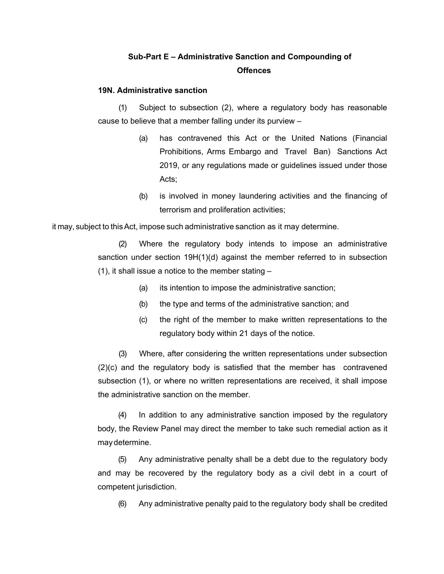# **Sub-Part E – Administrative Sanction and Compounding of Offences**

#### **19N. Administrative sanction**

(1) Subject to subsection (2), where a regulatory body has reasonable cause to believe that a member falling under its purview –

- (a) has contravened this Act or the United Nations (Financial Prohibitions, Arms Embargo and Travel Ban) Sanctions Act 2019, or any regulations made or guidelines issued under those Acts;
- (b) is involved in money laundering activities and the financing of terrorism and proliferation activities;

it may, subject to this Act, impose such administrative sanction as it may determine.

(2) Where the regulatory body intends to impose an administrative sanction under section 19H(1)(d) against the member referred to in subsection (1), it shall issue a notice to the member stating –

- (a) its intention to impose the administrative sanction;
- (b) the type and terms of the administrative sanction; and
- (c) the right of the member to make written representations to the regulatory body within 21 days of the notice.

(3) Where, after considering the written representations under subsection (2)(c) and the regulatory body is satisfied that the member has contravened subsection (1), or where no written representations are received, it shall impose the administrative sanction on the member.

(4) In addition to any administrative sanction imposed by the regulatory body, the Review Panel may direct the member to take such remedial action as it maydetermine.

(5) Any administrative penalty shall be a debt due to the regulatory body and may be recovered by the regulatory body as a civil debt in a court of competent jurisdiction.

(6) Any administrative penalty paid to the regulatory body shall be credited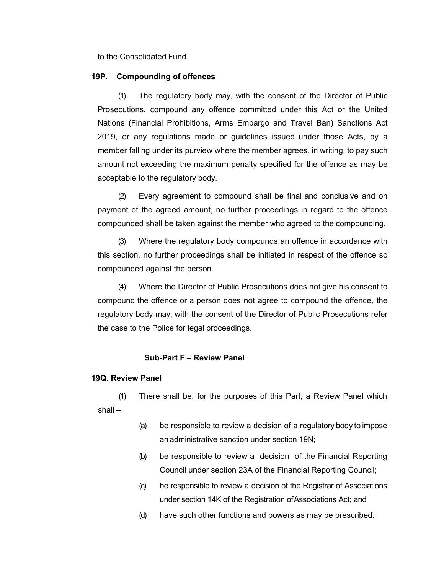to the Consolidated Fund.

#### **19P. Compounding of offences**

(1) The regulatory body may, with the consent of the Director of Public Prosecutions, compound any offence committed under this Act or the United Nations (Financial Prohibitions, Arms Embargo and Travel Ban) Sanctions Act 2019, or any regulations made or guidelines issued under those Acts, by a member falling under its purview where the member agrees, in writing, to pay such amount not exceeding the maximum penalty specified for the offence as may be acceptable to the regulatory body.

(2) Every agreement to compound shall be final and conclusive and on payment of the agreed amount, no further proceedings in regard to the offence compounded shall be taken against the member who agreed to the compounding.

(3) Where the regulatory body compounds an offence in accordance with this section, no further proceedings shall be initiated in respect of the offence so compounded against the person.

(4) Where the Director of Public Prosecutions does not give his consent to compound the offence or a person does not agree to compound the offence, the regulatory body may, with the consent of the Director of Public Prosecutions refer the case to the Police for legal proceedings.

#### **Sub-Part F – Review Panel**

#### **19Q. Review Panel**

(1) There shall be, for the purposes of this Part, a Review Panel which shall –

- (a) be responsible to review a decision of a regulatory body to impose an administrative sanction under section 19N;
- (b) be responsible to review a decision of the Financial Reporting Council under section 23A of the Financial Reporting Council;
- (c) be responsible to review a decision of the Registrar of Associations under section 14K of the Registration ofAssociations Act; and
- (d) have such other functions and powers as may be prescribed.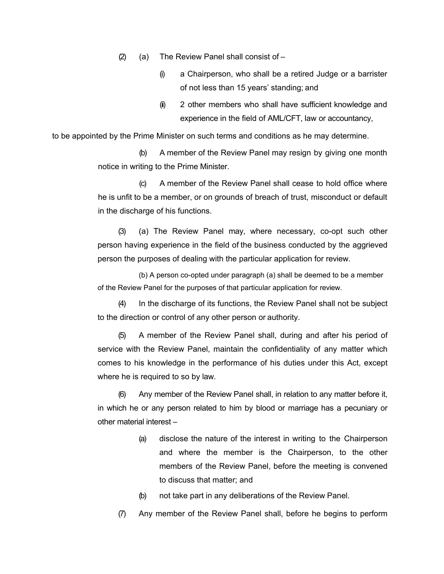(2) (a) The Review Panel shall consist of  $-$ 

- (i) a Chairperson, who shall be a retired Judge or a barrister of not less than 15 years' standing; and
- (ii) 2 other members who shall have sufficient knowledge and experience in the field of AML/CFT, law or accountancy,

to be appointed by the Prime Minister on such terms and conditions as he may determine.

(b) A member of the Review Panel may resign by giving one month notice in writing to the Prime Minister.

(c) A member of the Review Panel shall cease to hold office where he is unfit to be a member, or on grounds of breach of trust, misconduct or default in the discharge of his functions.

(3) (a) The Review Panel may, where necessary, co-opt such other person having experience in the field of the business conducted by the aggrieved person the purposes of dealing with the particular application for review.

(b) A person co-opted under paragraph (a) shall be deemed to be a member of the Review Panel for the purposes of that particular application for review.

(4) In the discharge of its functions, the Review Panel shall not be subject to the direction or control of any other person or authority.

(5) A member of the Review Panel shall, during and after his period of service with the Review Panel, maintain the confidentiality of any matter which comes to his knowledge in the performance of his duties under this Act, except where he is required to so by law.

(6) Any member of the Review Panel shall, in relation to any matter before it, in which he or any person related to him by blood or marriage has a pecuniary or other material interest –

- (a) disclose the nature of the interest in writing to the Chairperson and where the member is the Chairperson, to the other members of the Review Panel, before the meeting is convened to discuss that matter; and
- (b) not take part in any deliberations of the Review Panel.
- (7) Any member of the Review Panel shall, before he begins to perform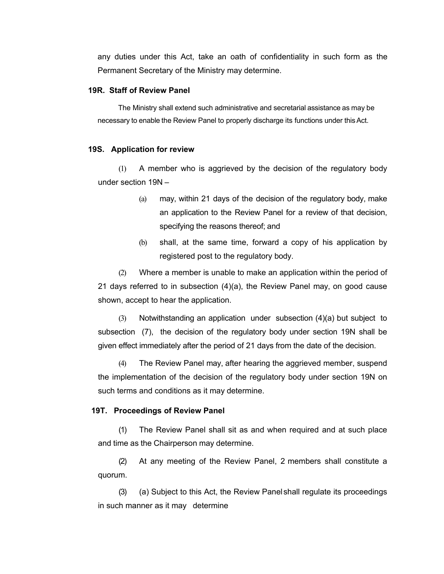any duties under this Act, take an oath of confidentiality in such form as the Permanent Secretary of the Ministry may determine.

#### **19R. Staff of Review Panel**

The Ministry shall extend such administrative and secretarial assistance as may be necessary to enable the Review Panel to properly discharge its functions under this Act.

#### **19S. Application for review**

(1) A member who is aggrieved by the decision of the regulatory body under section 19N –

- (a) may, within 21 days of the decision of the regulatory body, make an application to the Review Panel for a review of that decision, specifying the reasons thereof; and
- (b) shall, at the same time, forward a copy of his application by registered post to the regulatory body.

(2) Where a member is unable to make an application within the period of 21 days referred to in subsection (4)(a), the Review Panel may, on good cause shown, accept to hear the application.

(3) Notwithstanding an application under subsection (4)(a) but subject to subsection (7), the decision of the regulatory body under section 19N shall be given effect immediately after the period of 21 days from the date of the decision.

(4) The Review Panel may, after hearing the aggrieved member, suspend the implementation of the decision of the regulatory body under section 19N on such terms and conditions as it may determine.

#### **19T. Proceedings of Review Panel**

(1) The Review Panel shall sit as and when required and at such place and time as the Chairperson may determine.

(2) At any meeting of the Review Panel, 2 members shall constitute a quorum.

(3) (a) Subject to this Act, the Review Panelshall regulate its proceedings in such manner as it may determine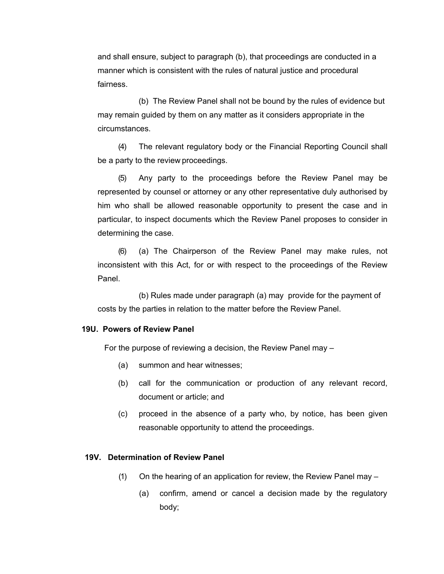and shall ensure, subject to paragraph (b), that proceedings are conducted in a manner which is consistent with the rules of natural justice and procedural fairness.

(b) The Review Panel shall not be bound by the rules of evidence but may remain guided by them on any matter as it considers appropriate in the circumstances.

(4) The relevant regulatory body or the Financial Reporting Council shall be a party to the review proceedings.

(5) Any party to the proceedings before the Review Panel may be represented by counsel or attorney or any other representative duly authorised by him who shall be allowed reasonable opportunity to present the case and in particular, to inspect documents which the Review Panel proposes to consider in determining the case.

(6) (a) The Chairperson of the Review Panel may make rules, not inconsistent with this Act, for or with respect to the proceedings of the Review Panel.

(b) Rules made under paragraph (a) may provide for the payment of costs by the parties in relation to the matter before the Review Panel.

#### **19U. Powers of Review Panel**

For the purpose of reviewing a decision, the Review Panel may –

- (a) summon and hear witnesses;
- (b) call for the communication or production of any relevant record, document or article; and
- (c) proceed in the absence of a party who, by notice, has been given reasonable opportunity to attend the proceedings.

#### **19V. Determination of Review Panel**

- (1) On the hearing of an application for review, the Review Panel may
	- (a) confirm, amend or cancel a decision made by the regulatory body;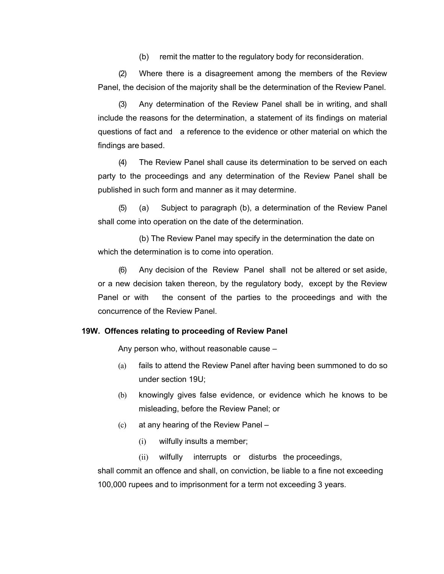(b) remit the matter to the regulatory body for reconsideration.

(2) Where there is a disagreement among the members of the Review Panel, the decision of the majority shall be the determination of the Review Panel.

(3) Any determination of the Review Panel shall be in writing, and shall include the reasons for the determination, a statement of its findings on material questions of fact and a reference to the evidence or other material on which the findings are based.

(4) The Review Panel shall cause its determination to be served on each party to the proceedings and any determination of the Review Panel shall be published in such form and manner as it may determine.

(5) (a) Subject to paragraph (b), a determination of the Review Panel shall come into operation on the date of the determination.

(b) The Review Panel may specify in the determination the date on which the determination is to come into operation.

(6) Any decision of the Review Panel shall not be altered or set aside, or a new decision taken thereon, by the regulatory body, except by the Review Panel or with the consent of the parties to the proceedings and with the concurrence of the Review Panel.

#### **19W. Offences relating to proceeding of Review Panel**

Any person who, without reasonable cause –

- (a) fails to attend the Review Panel after having been summoned to do so under section 19U;
- (b) knowingly gives false evidence, or evidence which he knows to be misleading, before the Review Panel; or
- (c) at any hearing of the Review Panel
	- (i) wilfully insults a member;

(ii) wilfully interrupts or disturbs the proceedings,

shall commit an offence and shall, on conviction, be liable to a fine not exceeding 100,000 rupees and to imprisonment for a term not exceeding 3 years.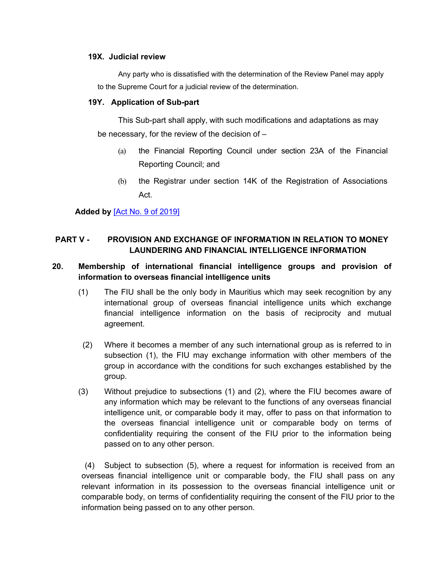#### **19X. Judicial review**

Any party who is dissatisfied with the determination of the Review Panel may apply to the Supreme Court for a judicial review of the determination.

#### **19Y. Application of Sub-part**

This Sub-part shall apply, with such modifications and adaptations as may be necessary, for the review of the decision of –

- (a) the Financial Reporting Council under section 23A of the Financial Reporting Council; and
- (b) the Registrar under section 14K of the Registration of Associations Act.

**Added by** [Act No. 9 of [2019\]](https://supremecourt.govmu.org/_layouts/CLIS.DMS/search/searchdocumentbykey.aspx?ID=%5BAct%20No.%209%20of%202019%5D&list=Legislations)

# **PART V - PROVISION AND EXCHANGE OF INFORMATION IN RELATION TO MONEY LAUNDERING AND FINANCIAL INTELLIGENCE INFORMATION**

# <span id="page-46-0"></span>**20. Membership of international financial intelligence groups and provision of information to overseas financial intelligence units**

- (1) The FIU shall be the only body in Mauritius which may seek recognition by any international group of overseas financial intelligence units which exchange financial intelligence information on the basis of reciprocity and mutual agreement.
- (2) Where it becomes a member of any such international group as is referred to in subsection (1), the FIU may exchange information with other members of the group in accordance with the conditions for such exchanges established by the group.
- (3) Without prejudice to subsections (1) and (2), where the FIU becomes aware of any information which may be relevant to the functions of any overseas financial intelligence unit, or comparable body it may, offer to pass on that information to the overseas financial intelligence unit or comparable body on terms of confidentiality requiring the consent of the FIU prior to the information being passed on to any other person.

<span id="page-46-1"></span>(4) Subject to subsection (5), where a request for information is received from an overseas financial intelligence unit or comparable body, the FIU shall pass on any relevant information in its possession to the overseas financial intelligence unit or comparable body, on terms of confidentiality requiring the consent of the FIU prior to the information being passed on to any other person.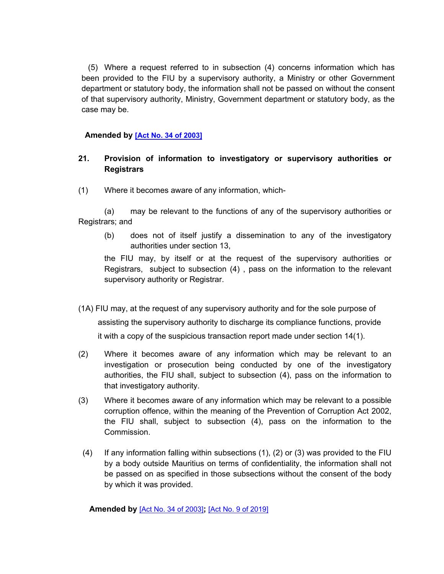(5) Where a request referred to in subsection (4) concerns information which has been provided to the FIU by a supervisory authority, a Ministry or other Government department or statutory body, the information shall not be passed on without the consent of that supervisory authority, Ministry, Government department or statutory body, as the case may be.

# **Amended by [Act No. 34 of [2003\]](https://supremecourt.govmu.org/_layouts/CLIS.DMS/search/searchdocumentbykey.aspx?ID=%5BAct%20No.%2034%20of%202003%5D&list=Legislations)**

# **21. Provision of information to investigatory or supervisory authorities or Registrars**

(1) Where it becomes aware of any information, which-

(a) may be relevant to the functions of any of the supervisory authorities or Registrars; and

(b) does not of itself justify a dissemination to any of the investigatory authorities under section 13,

the FIU may, by itself or at the request of the supervisory authorities or Registrars, subject to subsection (4) , pass on the information to the relevant supervisory authority or Registrar.

- (1A) FIU may, at the request of any supervisory authority and for the sole purpose of assisting the supervisory authority to discharge its compliance functions, provide it with a copy of the suspicious transaction report made under section 14(1).
- (2) Where it becomes aware of any information which may be relevant to an investigation or prosecution being conducted by one of the investigatory authorities, the FIU shall, subject to subsection (4), pass on the information to that investigatory authority.
- (3) Where it becomes aware of any information which may be relevant to a possible corruption offence, within the meaning of the Prevention of Corruption Act 2002, the FIU shall, subject to subsection (4), pass on the information to the Commission.
- (4) If any information falling within subsections (1), (2) or (3) was provided to the FIU by a body outside Mauritius on terms of confidentiality, the information shall not be passed on as specified in those subsections without the consent of the body by which it was provided.

<span id="page-47-0"></span> **Amended by** [Act No. 34 of [2003\]](https://supremecourt.govmu.org/_layouts/CLIS.DMS/search/searchdocumentbykey.aspx?ID=%5BAct%20No.%2034%20of%202003%5D&list=Legislations)**;** [Act No. 9 of [2019\]](https://supremecourt.govmu.org/_layouts/CLIS.DMS/search/searchdocumentbykey.aspx?ID=%5BAct%20No.%209%20of%202019%5D&list=Legislations)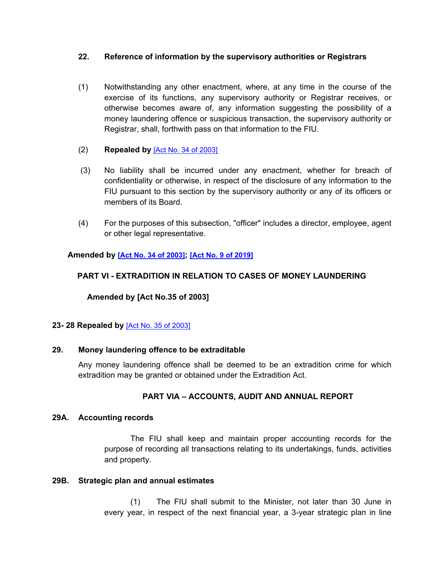# **22. Reference of information by the supervisory authorities or Registrars**

- (1) Notwithstanding any other enactment, where, at any time in the course of the exercise of its functions, any supervisory authority or Registrar receives, or otherwise becomes aware of, any information suggesting the possibility of a money laundering offence or suspicious transaction, the supervisory authority or Registrar, shall, forthwith pass on that information to the FIU.
- (2) **Repealed by** [Act No. 34 of [2003\]](https://supremecourt.govmu.org/_layouts/CLIS.DMS/search/searchdocumentbykey.aspx?ID=%5BAct%20No.%2034%20of%202003%5D&list=Legislations)
- (3) No liability shall be incurred under any enactment, whether for breach of confidentiality or otherwise, in respect of the disclosure of any information to the FIU pursuant to this section by the supervisory authority or any of its officers or members of its Board.
- (4) For the purposes of this subsection, "officer" includes a director, employee, agent or other legal representative.

# **Amended by [Act No. 34 of [2003\]](https://supremecourt.govmu.org/_layouts/CLIS.DMS/search/searchdocumentbykey.aspx?ID=%5BAct%20No.%2034%20of%202003%5D&list=Legislations); [Act No. 9 of [2019\]](https://supremecourt.govmu.org/_layouts/CLIS.DMS/search/searchdocumentbykey.aspx?ID=%5BAct%20No.%209%20of%202019%5D&list=Legislations)**

# **PART VI - EXTRADITION IN RELATION TO CASES OF MONEY LAUNDERING**

 **Amended by [Act No.35 of 2003]**

# <span id="page-48-1"></span><span id="page-48-0"></span>**23- 28 Repealed by** [Act No. 35 of [2003\]](https://supremecourt.govmu.org/_layouts/CLIS.DMS/search/searchdocumentbykey.aspx?ID=%5BAct%20No.%2035%20of%202003%5D&list=Legislations)

# **29. Money laundering offence to be extraditable**

Any money laundering offence shall be deemed to be an extradition crime for which extradition may be granted or obtained under the Extradition Act.

# **PART VIA – ACCOUNTS, AUDIT AND ANNUAL REPORT**

# **29A. Accounting records**

The FIU shall keep and maintain proper accounting records for the purpose of recording all transactions relating to its undertakings, funds, activities and property.

#### **29B. Strategic plan and annual estimates**

(1) The FIU shall submit to the Minister, not later than 30 June in every year, in respect of the next financial year, a 3-year strategic plan in line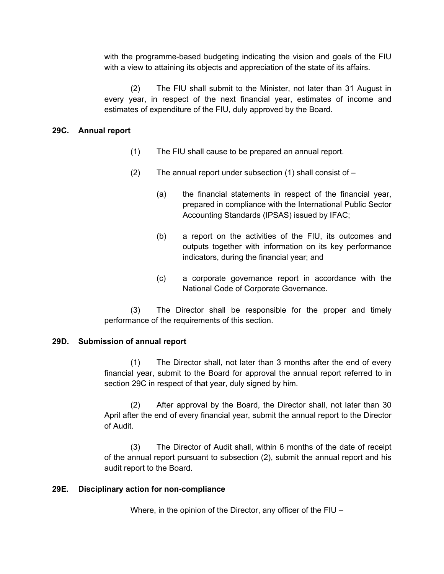with the programme-based budgeting indicating the vision and goals of the FIU with a view to attaining its objects and appreciation of the state of its affairs.

(2) The FIU shall submit to the Minister, not later than 31 August in every year, in respect of the next financial year, estimates of income and estimates of expenditure of the FIU, duly approved by the Board.

# **29C. Annual report**

- (1) The FIU shall cause to be prepared an annual report.
- (2) The annual report under subsection  $(1)$  shall consist of  $-$ 
	- (a) the financial statements in respect of the financial year, prepared in compliance with the International Public Sector Accounting Standards (IPSAS) issued by IFAC;
	- (b) a report on the activities of the FIU, its outcomes and outputs together with information on its key performance indicators, during the financial year; and
	- (c) a corporate governance report in accordance with the National Code of Corporate Governance.

(3) The Director shall be responsible for the proper and timely performance of the requirements of this section.

# **29D. Submission of annual report**

(1) The Director shall, not later than 3 months after the end of every financial year, submit to the Board for approval the annual report referred to in section 29C in respect of that year, duly signed by him.

(2) After approval by the Board, the Director shall, not later than 30 April after the end of every financial year, submit the annual report to the Director of Audit.

(3) The Director of Audit shall, within 6 months of the date of receipt of the annual report pursuant to subsection (2), submit the annual report and his audit report to the Board.

# **29E. Disciplinary action for non-compliance**

Where, in the opinion of the Director, any officer of the FIU –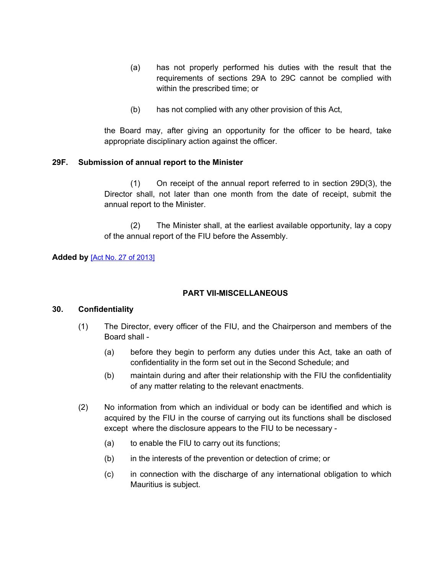- (a) has not properly performed his duties with the result that the requirements of sections 29A to 29C cannot be complied with within the prescribed time; or
- (b) has not complied with any other provision of this Act,

the Board may, after giving an opportunity for the officer to be heard, take appropriate disciplinary action against the officer.

# **29F. Submission of annual report to the Minister**

(1) On receipt of the annual report referred to in section 29D(3), the Director shall, not later than one month from the date of receipt, submit the annual report to the Minister.

(2) The Minister shall, at the earliest available opportunity, lay a copy of the annual report of the FIU before the Assembly.

### **Added by** [Act No. 27 of [2013\]](https://supremecourt.govmu.org/_layouts/CLIS.DMS/search/searchdocumentbykey.aspx?ID=%5BAct%20No.%2027%20of%202013%5D&list=Legislations)

# **PART VII-MISCELLANEOUS**

#### **30. Confidentiality**

- (1) The Director, every officer of the FIU, and the Chairperson and members of the Board shall -
	- (a) before they begin to perform any duties under this Act, take an oath of confidentiality in the form set out in the Second Schedule; and
	- (b) maintain during and after their relationship with the FIU the confidentiality of any matter relating to the relevant enactments.
- (2) No information from which an individual or body can be identified and which is acquired by the FIU in the course of carrying out its functions shall be disclosed except where the disclosure appears to the FIU to be necessary -
	- (a) to enable the FIU to carry out its functions;
	- (b) in the interests of the prevention or detection of crime; or
	- (c) in connection with the discharge of any international obligation to which Mauritius is subject.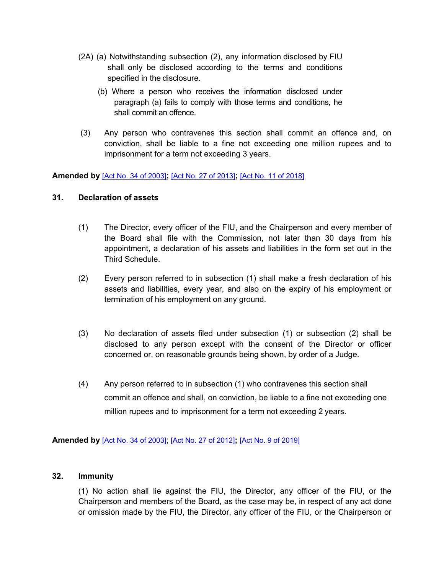- (2A) (a) Notwithstanding subsection (2), any information disclosed by FIU shall only be disclosed according to the terms and conditions specified in the disclosure.
	- (b) Where a person who receives the information disclosed under paragraph (a) fails to comply with those terms and conditions, he shall commit an offence.
- (3) Any person who contravenes this section shall commit an offence and, on conviction, shall be liable to a fine not exceeding one million rupees and to imprisonment for a term not exceeding 3 years.

**Amended by** [Act No. 34 of [2003\]](https://supremecourt.govmu.org/_layouts/CLIS.DMS/search/searchdocumentbykey.aspx?ID=%5BAct%20No.%2034%20of%202003%5D&list=Legislations)**;** [Act No. 27 of [2013\]](https://supremecourt.govmu.org/_layouts/CLIS.DMS/search/searchdocumentbykey.aspx?ID=%5BAct%20No.%2027%20of%202013%5D&list=Legislations)**;** [Act No. 11 of [2018\]](https://supremecourt.govmu.org/_layouts/CLIS.DMS/search/searchdocumentbykey.aspx?ID=%5BAct%20No.%2011%20of%202018%5D&list=Legislations)

### **31. Declaration of assets**

- (1) The Director, every officer of the FIU, and the Chairperson and every member of the Board shall file with the Commission, not later than 30 days from his appointment, a declaration of his assets and liabilities in the form set out in the Third Schedule.
- (2) Every person referred to in subsection (1) shall make a fresh declaration of his assets and liabilities, every year, and also on the expiry of his employment or termination of his employment on any ground.
- (3) No declaration of assets filed under subsection (1) or subsection (2) shall be disclosed to any person except with the consent of the Director or officer concerned or, on reasonable grounds being shown, by order of a Judge.
- (4) Any person referred to in subsection (1) who contravenes this section shall commit an offence and shall, on conviction, be liable to a fine not exceeding one million rupees and to imprisonment for a term not exceeding 2 years.

# **Amended by** [Act No. 34 of [2003\]](https://supremecourt.govmu.org/_layouts/CLIS.DMS/search/searchdocumentbykey.aspx?ID=%5BAct%20No.%2034%20of%202003%5D&list=Legislations); [Act No. 27 of [2012\]](https://supremecourt.govmu.org/_layouts/CLIS.DMS/search/searchdocumentbykey.aspx?ID=%5BAct%20No.%2027%20of%202012%5D&list=Legislations)**;** [Act No. 9 of [2019\]](https://supremecourt.govmu.org/_layouts/CLIS.DMS/search/searchdocumentbykey.aspx?ID=%5BAct%20No.%209%20of%202019%5D&list=Legislations)

#### **32. Immunity**

(1) No action shall lie against the FIU, the Director, any officer of the FIU, or the Chairperson and members of the Board, as the case may be, in respect of any act done or omission made by the FIU, the Director, any officer of the FIU, or the Chairperson or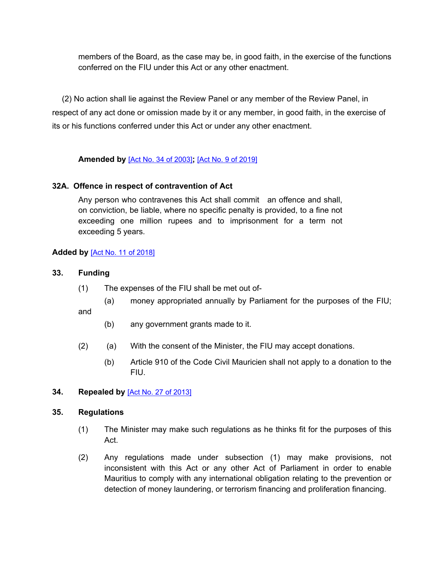members of the Board, as the case may be, in good faith, in the exercise of the functions conferred on the FIU under this Act or any other enactment.

(2) No action shall lie against the Review Panel or any member of the Review Panel, in respect of any act done or omission made by it or any member, in good faith, in the exercise of its or his functions conferred under this Act or under any other enactment.

# **Amended by** [Act No. 34 of [2003\]](https://supremecourt.govmu.org/_layouts/CLIS.DMS/search/searchdocumentbykey.aspx?ID=%5BAct%20No.%2034%20of%202003%5D&list=Legislations)**;** [Act No. 9 of [2019\]](https://supremecourt.govmu.org/_layouts/CLIS.DMS/search/searchdocumentbykey.aspx?ID=%5BAct%20No.%209%20of%202019%5D&list=Legislations)

# **32A. Offence in respect of contravention of Act**

Any person who contravenes this Act shall commit an offence and shall, on conviction, be liable, where no specific penalty is provided, to a fine not exceeding one million rupees and to imprisonment for a term not exceeding 5 years.

# **Added by** [Act No. 11 of [2018\]](https://supremecourt.govmu.org/_layouts/CLIS.DMS/search/searchdocumentbykey.aspx?ID=%5BAct%20No.%2011%20of%202018%5D&list=Legislations)

- **33. Funding**
	- (1) The expenses of the FIU shall be met out of-
		- (a) money appropriated annually by Parliament for the purposes of the FIU;

and

- (b) any government grants made to it.
- (2) (a) With the consent of the Minister, the FIU may accept donations.
	- (b) Article 910 of the Code Civil Mauricien shall not apply to a donation to the FIU.

#### <span id="page-52-0"></span>**34. Repealed by** [Act No. 27 of [2013\]](https://supremecourt.govmu.org/_layouts/CLIS.DMS/search/searchdocumentbykey.aspx?ID=%5BAct%20No.%2027%20of%202013%5D&list=Legislations)

### **35. Regulations**

- (1) The Minister may make such regulations as he thinks fit for the purposes of this Act.
- (2) Any regulations made under subsection (1) may make provisions, not inconsistent with this Act or any other Act of Parliament in order to enable Mauritius to comply with any international obligation relating to the prevention or detection of money laundering, or terrorism financing and proliferation financing.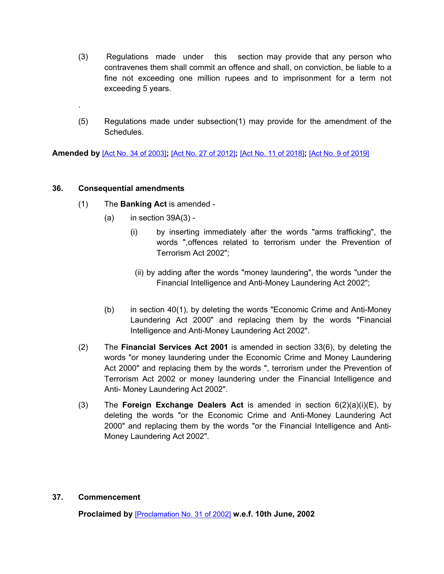- (3) Regulations made under this section may provide that any person who contravenes them shall commit an offence and shall, on conviction, be liable to a fine not exceeding one million rupees and to imprisonment for a term not exceeding 5 years.
- (5) Regulations made under subsection(1) may provide for the amendment of the Schedules.

**Amended by** [Act No. 34 of [2003\]](https://supremecourt.govmu.org/_layouts/CLIS.DMS/search/searchdocumentbykey.aspx?ID=%5BAct%20No.%2034%20of%202003%5D&list=Legislations)**;** [Act No. 27 of [2012\]](https://supremecourt.govmu.org/_layouts/CLIS.DMS/search/searchdocumentbykey.aspx?ID=%5BAct%20No.%2027%20of%202012%5D&list=Legislations)**;** [Act No. 11 of [2018\]](https://supremecourt.govmu.org/_layouts/CLIS.DMS/search/searchdocumentbykey.aspx?ID=%5BAct%20No.%2011%20of%202018%5D&list=Legislations)**;** [Act No. 9 of [2019\]](https://supremecourt.govmu.org/_layouts/CLIS.DMS/search/searchdocumentbykey.aspx?ID=%5BAct%20No.%209%20of%202019%5D&list=Legislations)

# <span id="page-53-0"></span>**36. Consequential amendments**

.

- (1) The **Banking Act** is amended
	- $(a)$  in section 39A $(3)$  -
		- (i) by inserting immediately after the words "arms trafficking", the words ",offences related to terrorism under the Prevention of Terrorism Act 2002";
		- (ii) by adding after the words "money laundering", the words "under the Financial Intelligence and Anti-Money Laundering Act 2002";
	- (b) in section 40(1), by deleting the words "Economic Crime and Anti-Money Laundering Act 2000" and replacing them by the words "Financial Intelligence and Anti-Money Laundering Act 2002".
- (2) The **Financial Services Act 2001** is amended in section 33(6), by deleting the words "or money laundering under the Economic Crime and Money Laundering Act 2000" and replacing them by the words ", terrorism under the Prevention of Terrorism Act 2002 or money laundering under the Financial Intelligence and Anti- Money Laundering Act 2002".
- (3) The **Foreign Exchange Dealers Act** is amended in section 6(2)(a)(i)(E), by deleting the words "or the Economic Crime and Anti-Money Laundering Act 2000" and replacing them by the words "or the Financial Intelligence and Anti-Money Laundering Act 2002".

### <span id="page-53-1"></span>**37. Commencement**

**Proclaimed by** [\[Proclamation](https://supremecourt.govmu.org/_layouts/CLIS.DMS/search/searchdocumentbykey.aspx?ID=%5BProclamation%20No.%2031%20of%202002%5D&list=Legislations) No. 31 of 2002] **w.e.f. 10th June, 2002**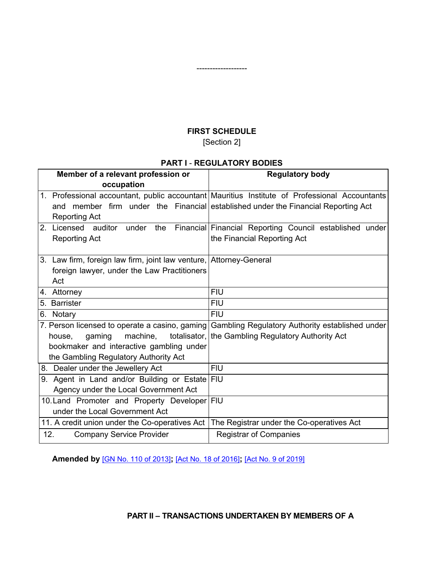# **FIRST SCHEDULE** [Section 2]

<span id="page-54-0"></span>-------------------

# **PART I** - **REGULATORY BODIES**

| Member of a relevant profession or                                                             | <b>Regulatory body</b> |
|------------------------------------------------------------------------------------------------|------------------------|
| occupation                                                                                     |                        |
| 1. Professional accountant, public accountant Mauritius Institute of Professional Accountants  |                        |
| member firm under the Financial established under the Financial Reporting Act<br>and           |                        |
| <b>Reporting Act</b>                                                                           |                        |
| 2. Licensed auditor under<br>Financial Financial Reporting Council established under<br>the    |                        |
| <b>Reporting Act</b><br>the Financial Reporting Act                                            |                        |
|                                                                                                |                        |
| 3. Law firm, foreign law firm, joint law venture, Attorney-General                             |                        |
| foreign lawyer, under the Law Practitioners                                                    |                        |
| Act                                                                                            |                        |
| <b>FIU</b><br>4. Attorney                                                                      |                        |
| 5. Barrister<br><b>FIU</b>                                                                     |                        |
| <b>FIU</b><br>6.<br>Notary                                                                     |                        |
| 7. Person licensed to operate a casino, gaming Gambling Regulatory Authority established under |                        |
| qaming<br>machine,<br>totalisator, the Gambling Regulatory Authority Act<br>house.             |                        |
| bookmaker and interactive gambling under                                                       |                        |
| the Gambling Regulatory Authority Act                                                          |                        |
| 8. Dealer under the Jewellery Act<br><b>FIU</b>                                                |                        |
| 9. Agent in Land and/or Building or Estate<br><b>FIU</b>                                       |                        |
| Agency under the Local Government Act                                                          |                        |
| 10. Land Promoter and Property Developer FIU                                                   |                        |
| under the Local Government Act                                                                 |                        |
| The Registrar under the Co-operatives Act<br>11. A credit union under the Co-operatives Act    |                        |
| 12.<br><b>Registrar of Companies</b><br><b>Company Service Provider</b>                        |                        |

**Amended by** [GN No. 110 of [2013\]](https://supremecourt.govmu.org/_layouts/CLIS.DMS/search/searchdocumentbykey.aspx?ID=%5BGN%20No.%20110%20of%202013%5D&list=Legislations)**;** [Act No. 18 of [2016\]](https://supremecourt.govmu.org/_layouts/CLIS.DMS/search/searchdocumentbykey.aspx?ID=%5BAct%20No.%2018%20of%202016%5D&list=Legislations)**;** [Act No. 9 of [2019\]](https://supremecourt.govmu.org/_layouts/CLIS.DMS/search/searchdocumentbykey.aspx?ID=%5BAct%20No.%209%20of%202019%5D&list=Legislations)

**PART II – TRANSACTIONS UNDERTAKEN BY MEMBERS OF A**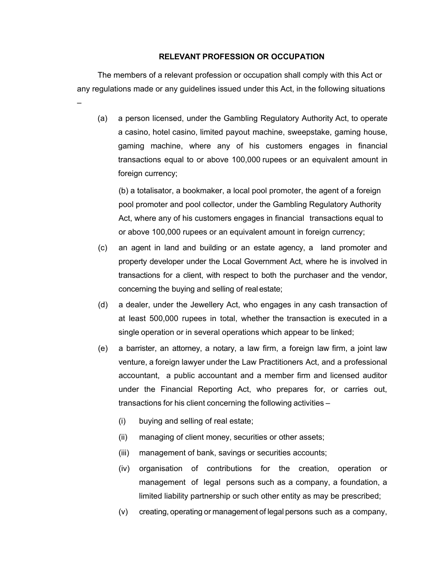#### **RELEVANT PROFESSION OR OCCUPATION**

The members of a relevant profession or occupation shall comply with this Act or any regulations made or any guidelines issued under this Act, in the following situations

–

(a) a person licensed, under the Gambling Regulatory Authority Act, to operate a casino, hotel casino, limited payout machine, sweepstake, gaming house, gaming machine, where any of his customers engages in financial transactions equal to or above 100,000 rupees or an equivalent amount in foreign currency;

(b) a totalisator, a bookmaker, a local pool promoter, the agent of a foreign pool promoter and pool collector, under the Gambling Regulatory Authority Act, where any of his customers engages in financial transactions equal to or above 100,000 rupees or an equivalent amount in foreign currency;

- (c) an agent in land and building or an estate agency, a land promoter and property developer under the Local Government Act, where he is involved in transactions for a client, with respect to both the purchaser and the vendor, concerning the buying and selling of real estate;
- (d) a dealer, under the Jewellery Act, who engages in any cash transaction of at least 500,000 rupees in total, whether the transaction is executed in a single operation or in several operations which appear to be linked;
- (e) a barrister, an attorney, a notary, a law firm, a foreign law firm, a joint law venture, a foreign lawyer under the Law Practitioners Act, and a professional accountant, a public accountant and a member firm and licensed auditor under the Financial Reporting Act, who prepares for, or carries out, transactions for his client concerning the following activities –
	- (i) buying and selling of real estate;
	- (ii) managing of client money, securities or other assets;
	- (iii) management of bank, savings or securities accounts;
	- (iv) organisation of contributions for the creation, operation or management of legal persons such as a company, a foundation, a limited liability partnership or such other entity as may be prescribed;
	- (v) creating, operating or management of legal persons such as a company,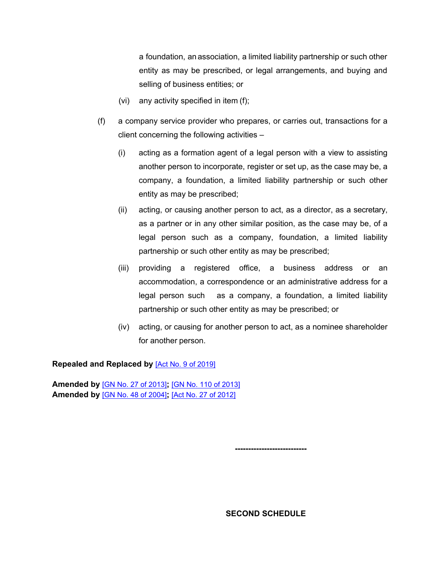a foundation, an association, a limited liability partnership or such other entity as may be prescribed, or legal arrangements, and buying and selling of business entities; or

- (vi) any activity specified in item (f);
- (f) a company service provider who prepares, or carries out, transactions for a client concerning the following activities –
	- (i) acting as a formation agent of a legal person with a view to assisting another person to incorporate, register or set up, as the case may be, a company, a foundation, a limited liability partnership or such other entity as may be prescribed;
	- (ii) acting, or causing another person to act, as a director, as a secretary, as a partner or in any other similar position, as the case may be, of a legal person such as a company, foundation, a limited liability partnership or such other entity as may be prescribed;
	- (iii) providing a registered office, a business address or an accommodation, a correspondence or an administrative address for a legal person such as a company, a foundation, a limited liability partnership or such other entity as may be prescribed; or
	- (iv) acting, or causing for another person to act, as a nominee shareholder for another person.

**Repealed and Replaced by** [Act No. 9 of [2019\]](https://supremecourt.govmu.org/_layouts/CLIS.DMS/search/searchdocumentbykey.aspx?ID=%5BAct%20No.%209%20of%202019%5D&list=Legislations)

**Amended by** [GN No. 27 of [2013\]](https://supremecourt.govmu.org/_layouts/CLIS.DMS/search/searchdocumentbykey.aspx?ID=%5BGN%20No.%2027%20of%202013%5D&list=Legislations)**;** [GN No. 110 of [2013\]](https://supremecourt.govmu.org/_layouts/CLIS.DMS/search/searchdocumentbykey.aspx?ID=%5BGN%20No.%20110%20of%202013%5D&list=Legislations) **Amended by** [GN No. 48 of [2004\]](https://supremecourt.govmu.org/_layouts/CLIS.DMS/search/searchdocumentbykey.aspx?ID=%5BGN%20No.%2048%20of%202004%5D&list=Legislations)**;** [Act No. 27 of [2012\]](https://supremecourt.govmu.org/_layouts/CLIS.DMS/search/searchdocumentbykey.aspx?ID=%5BAct%20No.%2027%20of%202012%5D&list=Legislations)

<span id="page-56-0"></span>**---------------------------**

**SECOND SCHEDULE**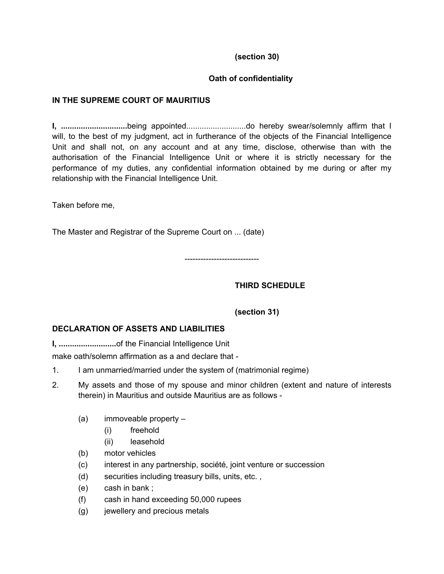# **(section 30)**

# **Oath of confidentiality**

# **IN THE SUPREME COURT OF MAURITIUS**

**I, ..............................**being appointed...........................do hereby swear/solemnly affirm that I will, to the best of my judgment, act in furtherance of the objects of the Financial Intelligence Unit and shall not, on any account and at any time, disclose, otherwise than with the authorisation of the Financial Intelligence Unit or where it is strictly necessary for the performance of my duties, any confidential information obtained by me during or after my relationship with the Financial Intelligence Unit.

Taken before me,

The Master and Registrar of the Supreme Court on ... (date)

----------------------------

# <span id="page-57-0"></span>**THIRD SCHEDULE**

# **(section 31)**

# **DECLARATION OF ASSETS AND LIABILITIES**

**I, ..........................**of the Financial Intelligence Unit

make oath/solemn affirmation as a and declare that -

- 1. I am unmarried/married under the system of (matrimonial regime)
- 2. My assets and those of my spouse and minor children (extent and nature of interests therein) in Mauritius and outside Mauritius are as follows -
	- (a) immoveable property
		- (i) freehold
		- (ii) leasehold
	- (b) motor vehicles
	- (c) interest in any partnership, société, joint venture or succession
	- (d) securities including treasury bills, units, etc. ,
	- (e) cash in bank ;
	- (f) cash in hand exceeding 50,000 rupees
	- (g) jewellery and precious metals